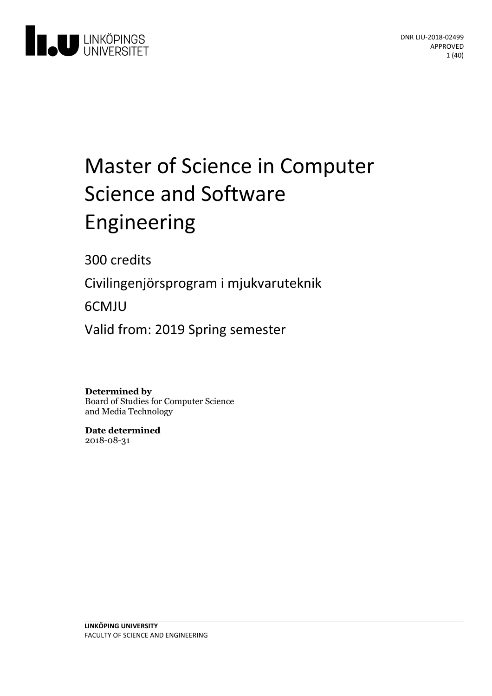

# Master of Science in Computer Science and Software Engineering

300 credits

Civilingenjörsprogram i mjukvaruteknik

6CMJU

Valid from: 2019 Spring semester

**Determined by** Board of Studies for Computer Science and Media Technology

**Date determined** 2018-08-31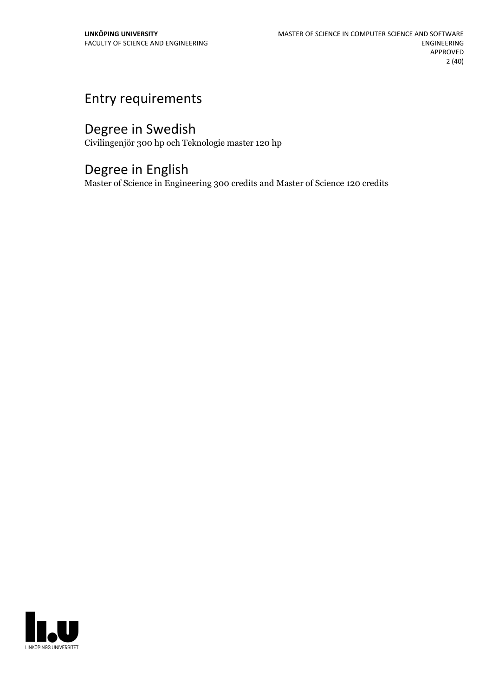## Entry requirements

## Degree in Swedish

Civilingenjör 300 hp och Teknologie master 120 hp

## Degree in English

Master of Science in Engineering 300 credits and Master of Science 120 credits

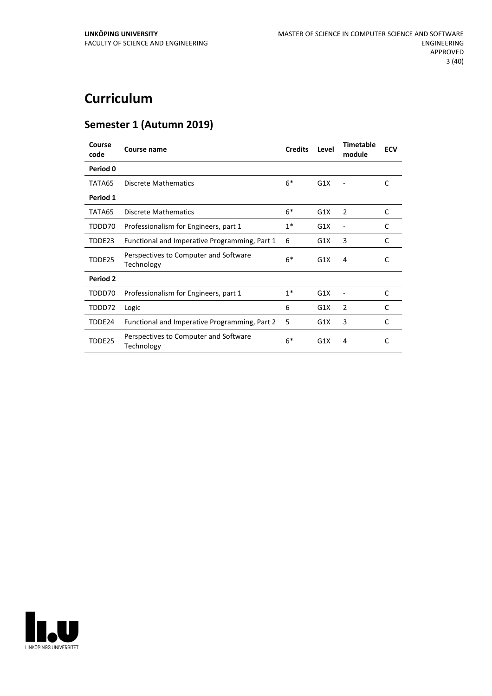## **Curriculum**

## **Semester 1 (Autumn 2019)**

| Course<br>code | Course name                                         | <b>Credits</b> | Level | <b>Timetable</b><br>module | <b>ECV</b>   |
|----------------|-----------------------------------------------------|----------------|-------|----------------------------|--------------|
| Period 0       |                                                     |                |       |                            |              |
| TATA65         | <b>Discrete Mathematics</b>                         | $6*$           | G1X   |                            | C            |
| Period 1       |                                                     |                |       |                            |              |
| TATA65         | <b>Discrete Mathematics</b>                         | $6*$           | G1X   | 2                          | $\mathsf{C}$ |
| TDDD70         | Professionalism for Engineers, part 1               | $1^*$          | G1X   |                            | C            |
| TDDE23         | Functional and Imperative Programming, Part 1       | 6              | G1X   | 3                          | C            |
| TDDE25         | Perspectives to Computer and Software<br>Technology | $6*$           | G1X   | 4                          | C            |
| Period 2       |                                                     |                |       |                            |              |
| TDDD70         | Professionalism for Engineers, part 1               | $1^*$          | G1X   |                            | C            |
| TDDD72         | Logic                                               | 6              | G1X   | $\mathcal{P}$              | C            |
| TDDE24         | Functional and Imperative Programming, Part 2       | 5              | G1X   | 3                          | C            |
| TDDE25         | Perspectives to Computer and Software<br>Technology | $6*$           | G1X   | 4                          | C            |

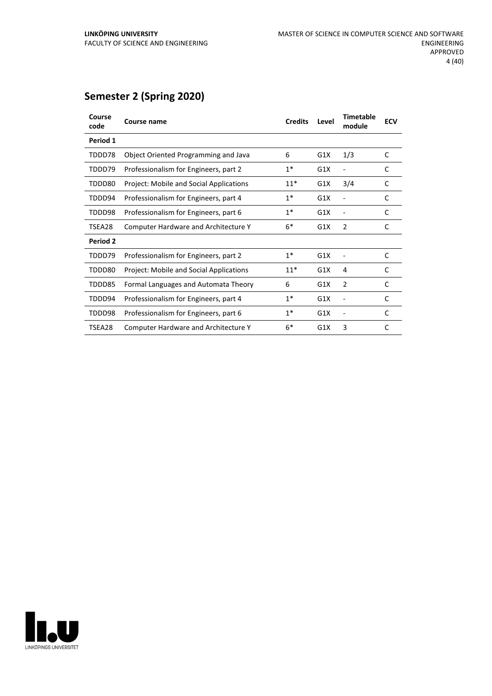## **Semester 2 (Spring 2020)**

| Course<br>code | <b>Course name</b>                             | <b>Credits</b> | Level | <b>Timetable</b><br>module | <b>ECV</b> |
|----------------|------------------------------------------------|----------------|-------|----------------------------|------------|
| Period 1       |                                                |                |       |                            |            |
| TDDD78         | Object Oriented Programming and Java           | 6              | G1X   | 1/3                        | C          |
| TDDD79         | Professionalism for Engineers, part 2          | $1*$           | G1X   |                            | C          |
| TDDD80         | <b>Project: Mobile and Social Applications</b> | $11*$          | G1X   | 3/4                        | C          |
| TDDD94         | Professionalism for Engineers, part 4          | $1*$           | G1X   |                            | C          |
| TDDD98         | Professionalism for Engineers, part 6          | $1^*$          | G1X   |                            | C          |
| TSEA28         | <b>Computer Hardware and Architecture Y</b>    | $6*$           | G1X   | $\overline{2}$             | C          |
| Period 2       |                                                |                |       |                            |            |
| TDDD79         | Professionalism for Engineers, part 2          | $1^*$          | G1X   |                            | C          |
| TDDD80         | <b>Project: Mobile and Social Applications</b> | $11*$          | G1X   | 4                          | C          |
| TDDD85         | Formal Languages and Automata Theory           | 6              | G1X   | $\overline{2}$             | C          |
| TDDD94         | Professionalism for Engineers, part 4          | $1*$           | G1X   |                            | C          |
| TDDD98         | Professionalism for Engineers, part 6          | $1*$           | G1X   |                            | C          |
| TSEA28         | <b>Computer Hardware and Architecture Y</b>    | $6*$           | G1X   | 3                          | C          |
|                |                                                |                |       |                            |            |

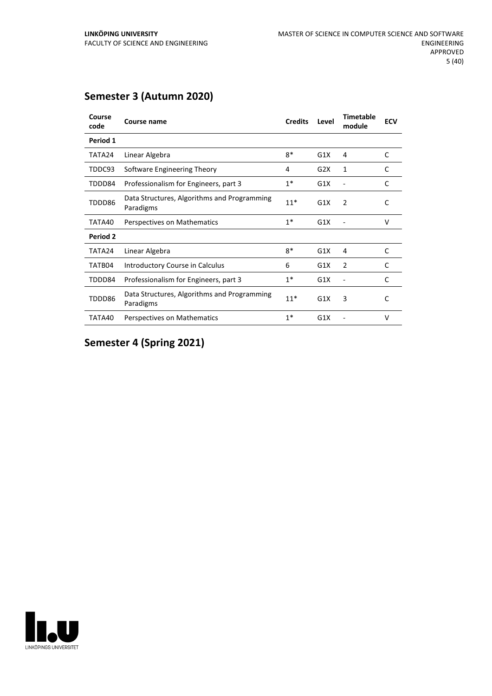## **Semester 3 (Autumn 2020)**

| Course<br>code | Course name                                              | <b>Credits</b> | Level | <b>Timetable</b><br>module | <b>ECV</b>   |
|----------------|----------------------------------------------------------|----------------|-------|----------------------------|--------------|
| Period 1       |                                                          |                |       |                            |              |
| TATA24         | Linear Algebra                                           | $8*$           | G1X   | 4                          | C            |
| TDDC93         | Software Engineering Theory                              | 4              | G2X   | 1                          | C            |
| TDDD84         | Professionalism for Engineers, part 3                    | $1*$           | G1X   |                            | C            |
| TDDD86         | Data Structures, Algorithms and Programming<br>Paradigms | $11*$          | G1X   | 2                          | C            |
| TATA40         | Perspectives on Mathematics                              | $1*$           | G1X   |                            | v            |
| Period 2       |                                                          |                |       |                            |              |
| TATA24         | Linear Algebra                                           | $8*$           | G1X   | 4                          | $\mathsf{C}$ |
| TATB04         | Introductory Course in Calculus                          | 6              | G1X   | $\overline{2}$             | C            |
| TDDD84         | Professionalism for Engineers, part 3                    | $1*$           | G1X   |                            | C            |
| TDDD86         | Data Structures, Algorithms and Programming<br>Paradigms | $11*$          | G1X   | 3                          | C            |
| TATA40         | Perspectives on Mathematics                              | $1*$           | G1X   |                            | v            |

## **Semester 4 (Spring 2021)**

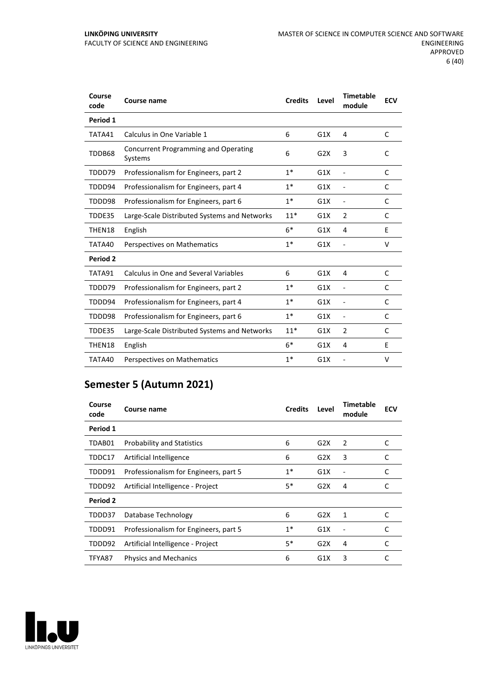#### **LINKÖPING UNIVERSITY** FACULTY OF SCIENCE AND ENGINEERING

| Course<br>code  | Course name                                     | <b>Credits</b> | Level | <b>Timetable</b><br>module   | <b>ECV</b> |
|-----------------|-------------------------------------------------|----------------|-------|------------------------------|------------|
| Period 1        |                                                 |                |       |                              |            |
| TATA41          | Calculus in One Variable 1                      | 6              | G1X   | 4                            | C          |
| TDDB68          | Concurrent Programming and Operating<br>Systems | 6              | G2X   | 3                            | C          |
| TDDD79          | Professionalism for Engineers, part 2           | $1*$           | G1X   | $\overline{\phantom{a}}$     | C          |
| TDDD94          | Professionalism for Engineers, part 4           | $1*$           | G1X   | $\overline{\phantom{a}}$     | C          |
| TDDD98          | Professionalism for Engineers, part 6           | $1*$           | G1X   | $\overline{\phantom{a}}$     | C          |
| TDDE35          | Large-Scale Distributed Systems and Networks    | $11*$          | G1X   | $\overline{2}$               | C          |
| THEN18          | English                                         | $6*$           | G1X   | 4                            | Е          |
| TATA40          | Perspectives on Mathematics                     | $1*$           | G1X   |                              | v          |
| <b>Period 2</b> |                                                 |                |       |                              |            |
| TATA91          | Calculus in One and Several Variables           | 6              | G1X   | 4                            | C          |
| TDDD79          | Professionalism for Engineers, part 2           | $1*$           | G1X   | $\overline{\phantom{a}}$     | C          |
| TDDD94          | Professionalism for Engineers, part 4           | $1*$           | G1X   | $\overline{a}$               | C          |
| TDDD98          | Professionalism for Engineers, part 6           | $1*$           | G1X   | $\qquad \qquad \blacksquare$ | C          |
| TDDE35          | Large-Scale Distributed Systems and Networks    | $11*$          | G1X   | $\overline{2}$               | C          |
| THEN18          | English                                         | $6*$           | G1X   | 4                            | E          |
| TATA40          | Perspectives on Mathematics                     | $1*$           | G1X   |                              | v          |

## **Semester 5 (Autumn 2021)**

| Course<br>code | Course name                           | <b>Credits</b> | Level | Timetable<br>module | <b>ECV</b> |
|----------------|---------------------------------------|----------------|-------|---------------------|------------|
| Period 1       |                                       |                |       |                     |            |
| TDAB01         | <b>Probability and Statistics</b>     | 6              | G2X   | 2                   | C          |
| TDDC17         | Artificial Intelligence               | 6              | G2X   | 3                   | C          |
| TDDD91         | Professionalism for Engineers, part 5 | $1*$           | G1X   |                     | C          |
| TDDD92         | Artificial Intelligence - Project     | 5*             | G2X   | 4                   |            |
| Period 2       |                                       |                |       |                     |            |
| TDDD37         | Database Technology                   | 6              | G2X   | 1                   | C          |
| TDDD91         | Professionalism for Engineers, part 5 | $1*$           | G1X   |                     | C          |
| TDDD92         | Artificial Intelligence - Project     | 5*             | G2X   | 4                   | C          |
| TFYA87         | <b>Physics and Mechanics</b>          | 6              | G1X   | 3                   |            |

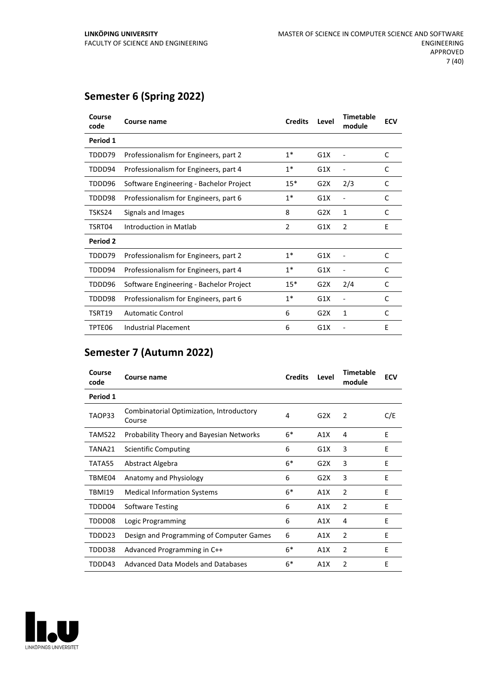## **Semester 6 (Spring 2022)**

| Course<br>code  | Course name                             | <b>Credits</b> | Level | <b>Timetable</b><br>module | <b>ECV</b> |
|-----------------|-----------------------------------------|----------------|-------|----------------------------|------------|
| Period 1        |                                         |                |       |                            |            |
| TDDD79          | Professionalism for Engineers, part 2   | $1^*$          | G1X   |                            | C          |
| TDDD94          | Professionalism for Engineers, part 4   | $1*$           | G1X   |                            | C          |
| TDDD96          | Software Engineering - Bachelor Project | $15*$          | G2X   | 2/3                        | C          |
| TDDD98          | Professionalism for Engineers, part 6   | $1*$           | G1X   |                            | C          |
| TSKS24          | Signals and Images                      | 8              | G2X   | 1                          | C          |
| TSRT04          | Introduction in Matlab                  | 2              | G1X   | 2                          | E          |
| <b>Period 2</b> |                                         |                |       |                            |            |
| TDDD79          | Professionalism for Engineers, part 2   | $1*$           | G1X   |                            | C          |
| TDDD94          | Professionalism for Engineers, part 4   | $1*$           | G1X   |                            | C          |
| TDDD96          | Software Engineering - Bachelor Project | $15*$          | G2X   | 2/4                        | C          |
| TDDD98          | Professionalism for Engineers, part 6   | $1*$           | G1X   |                            | C          |
| TSRT19          | <b>Automatic Control</b>                | 6              | G2X   | 1                          | C          |
| TPTE06          | Industrial Placement                    | 6              | G1X   |                            | E          |

## **Semester 7 (Autumn 2022)**

| Course<br>code | Course name                                        | <b>Credits</b> | Level | <b>Timetable</b><br>module | <b>ECV</b> |
|----------------|----------------------------------------------------|----------------|-------|----------------------------|------------|
| Period 1       |                                                    |                |       |                            |            |
| TAOP33         | Combinatorial Optimization, Introductory<br>Course | 4              | G2X   | 2                          | C/E        |
| TAMS22         | Probability Theory and Bayesian Networks           | $6*$           | A1X   | 4                          | E          |
| TANA21         | Scientific Computing                               | 6              | G1X   | 3                          | E          |
| TATA55         | Abstract Algebra                                   | $6*$           | G2X   | 3                          | E          |
| TBME04         | Anatomy and Physiology                             | 6              | G2X   | 3                          | E          |
| TBMI19         | <b>Medical Information Systems</b>                 | $6*$           | A1X   | 2                          | E          |
| TDDD04         | Software Testing                                   | 6              | A1X   | 2                          | E          |
| TDDD08         | Logic Programming                                  | 6              | A1X   | 4                          | E          |
| TDDD23         | Design and Programming of Computer Games           | 6              | A1X   | $\overline{2}$             | E          |
| TDDD38         | Advanced Programming in C++                        | $6*$           | A1X   | $\overline{2}$             | E          |
| TDDD43         | Advanced Data Models and Databases                 | $6*$           | A1X   | 2                          | E          |

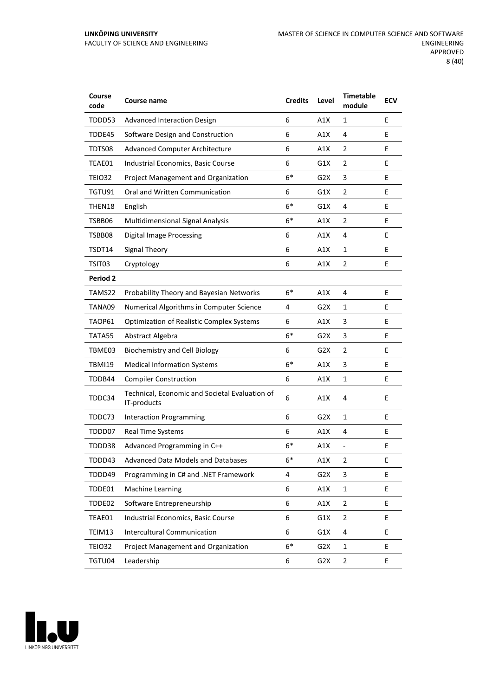#### **LINKÖPING UNIVERSITY** FACULTY OF SCIENCE AND ENGINEERING

| Course<br>code  | <b>Course name</b>                                            | <b>Credits</b> | Level            | <b>Timetable</b><br>module | <b>ECV</b> |
|-----------------|---------------------------------------------------------------|----------------|------------------|----------------------------|------------|
| TDDD53          | <b>Advanced Interaction Design</b>                            | 6              | A1X              | 1                          | E          |
| TDDE45          | Software Design and Construction                              | 6              | A1X              | 4                          | Е          |
| TDTS08          | <b>Advanced Computer Architecture</b>                         | 6              | A1X              | 2                          | Е          |
| TEAE01          | Industrial Economics, Basic Course                            | 6              | G1X              | 2                          | E          |
| TEIO32          | Project Management and Organization                           | $6*$           | G2X              | 3                          | E          |
| TGTU91          | Oral and Written Communication                                | 6              | G1X              | $\overline{2}$             | E          |
| THEN18          | English                                                       | $6*$           | G1X              | 4                          | E          |
| TSBB06          | Multidimensional Signal Analysis                              | $6*$           | A1X              | 2                          | E          |
| TSBB08          | <b>Digital Image Processing</b>                               | 6              | A1X              | 4                          | E          |
| TSDT14          | <b>Signal Theory</b>                                          | 6              | A1X              | 1                          | E          |
| TSIT03          | Cryptology                                                    | 6              | A1X              | 2                          | E          |
| <b>Period 2</b> |                                                               |                |                  |                            |            |
| TAMS22          | Probability Theory and Bayesian Networks                      | $6*$           | A1X              | 4                          | E          |
| TANA09          | Numerical Algorithms in Computer Science                      | 4              | G2X              | 1                          | E          |
| TAOP61          | <b>Optimization of Realistic Complex Systems</b>              | 6              | A1X              | 3                          | E          |
| TATA55          | Abstract Algebra                                              | $6*$           | G <sub>2</sub> X | 3                          | E          |
| TBME03          | <b>Biochemistry and Cell Biology</b>                          | 6              | G2X              | 2                          | E          |
| <b>TBMI19</b>   | <b>Medical Information Systems</b>                            | $6*$           | A1X              | 3                          | E          |
| TDDB44          | <b>Compiler Construction</b>                                  | 6              | A1X              | $\mathbf{1}$               | E          |
| TDDC34          | Technical, Economic and Societal Evaluation of<br>IT-products | 6              | A1X              | 4                          | E          |
| TDDC73          | <b>Interaction Programming</b>                                | 6              | G <sub>2</sub> X | 1                          | E          |
| TDDD07          | <b>Real Time Systems</b>                                      | 6              | A1X              | 4                          | Ε          |
| TDDD38          | Advanced Programming in C++                                   | $6*$           | A1X              | $\frac{1}{2}$              | E          |
| TDDD43          | Advanced Data Models and Databases                            | 6*             | A1X              | 2                          | Ε          |
| TDDD49          | Programming in C# and .NET Framework                          | 4              | G <sub>2</sub> X | 3                          | E          |
| TDDE01          | <b>Machine Learning</b>                                       | 6              | A1X              | $\mathbf{1}$               | E.         |
| TDDE02          | Software Entrepreneurship                                     | 6              | A1X              | 2                          | E          |
| TEAE01          | Industrial Economics, Basic Course                            | 6              | G1X              | 2                          | E.         |
| TEIM13          | Intercultural Communication                                   | 6              | G1X              | 4                          | E          |
| <b>TEIO32</b>   | Project Management and Organization                           | $6*$           | G2X              | $\mathbf 1$                | E          |
| TGTU04          | Leadership                                                    | 6              | G <sub>2</sub> X | 2                          | E          |

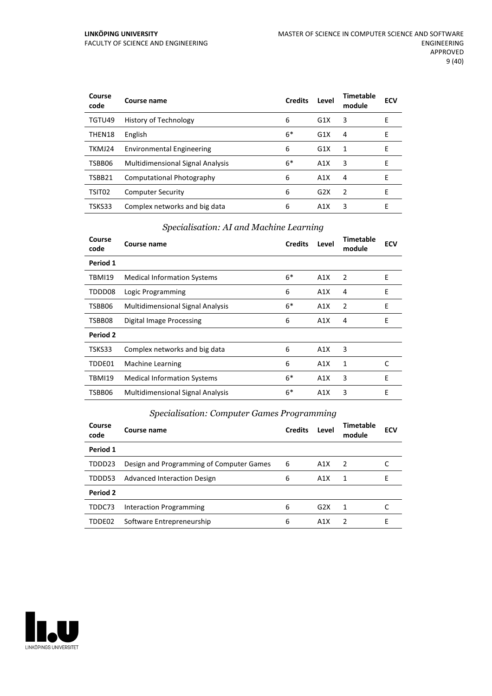| Course<br>code | Course name                             | <b>Credits</b> | Level            | Timetable<br>module | <b>ECV</b> |
|----------------|-----------------------------------------|----------------|------------------|---------------------|------------|
| TGTU49         | History of Technology                   | 6              | G1X              | 3                   | Е          |
| THEN18         | English                                 | $6*$           | G <sub>1</sub> X | 4                   | E          |
| TKMJ24         | <b>Environmental Engineering</b>        | 6              | G1X              | 1                   | Е          |
| TSBB06         | <b>Multidimensional Signal Analysis</b> | $6*$           | A1X              | 3                   | Е          |
| TSBB21         | Computational Photography               | 6              | A1X              | 4                   | F          |
| TSIT02         | <b>Computer Security</b>                | 6              | G2X              | 2                   | F          |
| TSKS33         | Complex networks and big data           | 6              | A1X              | 3                   | Е          |

## *Specialisation: AI and Machine Learning*

| Course<br>code | Course name                             | <b>Credits</b> | Level | <b>Timetable</b><br>module | <b>ECV</b> |
|----------------|-----------------------------------------|----------------|-------|----------------------------|------------|
| Period 1       |                                         |                |       |                            |            |
| TBMI19         | <b>Medical Information Systems</b>      | $6*$           | A1X   | 2                          | E          |
| TDDD08         | Logic Programming                       | 6              | A1X   | 4                          | E          |
| TSBB06         | <b>Multidimensional Signal Analysis</b> | $6*$           | A1X   | 2                          | E          |
| TSBB08         | Digital Image Processing                | 6              | A1X   | 4                          | E          |
| Period 2       |                                         |                |       |                            |            |
| TSKS33         | Complex networks and big data           | 6              | A1X   | 3                          |            |
| TDDE01         | Machine Learning                        | 6              | A1X   | 1                          | C          |
| <b>TBMI19</b>  | <b>Medical Information Systems</b>      | $6*$           | A1X   | 3                          | E          |
| TSBB06         | <b>Multidimensional Signal Analysis</b> | $6*$           | A1X   | 3                          | E          |
|                |                                         |                |       |                            |            |

## *Specialisation: Computer Games Programming*

| Course<br>code  | Course name                              | <b>Credits</b> | Level | Timetable<br>module | <b>ECV</b> |
|-----------------|------------------------------------------|----------------|-------|---------------------|------------|
| Period 1        |                                          |                |       |                     |            |
| TDDD23          | Design and Programming of Computer Games | 6              | A1X   | $\overline{z}$      |            |
| TDDD53          | <b>Advanced Interaction Design</b>       | 6              | A1X   | 1                   | F          |
| <b>Period 2</b> |                                          |                |       |                     |            |
| TDDC73          | <b>Interaction Programming</b>           | 6              | G2X   | 1                   |            |
| TDDE02          | Software Entrepreneurship                | 6              | A1X   | 2                   | F          |

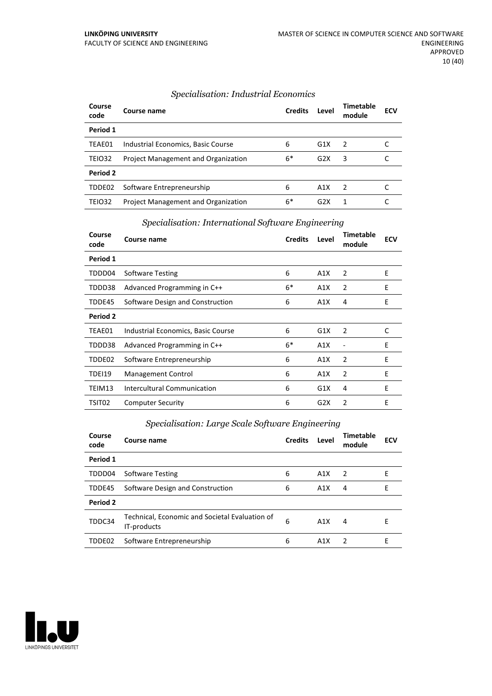| Course<br>code | Course name                                | <b>Credits</b> | Level            | Timetable<br>module | <b>ECV</b> |
|----------------|--------------------------------------------|----------------|------------------|---------------------|------------|
| Period 1       |                                            |                |                  |                     |            |
| TEAE01         | Industrial Economics, Basic Course         | 6              | G1X              | $\overline{z}$      |            |
| <b>TEIO32</b>  | <b>Project Management and Organization</b> | $6*$           | G2X              | 3                   |            |
| Period 2       |                                            |                |                  |                     |            |
| TDDE02         | Software Entrepreneurship                  | 6              | A1X              | $\overline{2}$      |            |
| TEIO32         | <b>Project Management and Organization</b> | 6*             | G <sub>2</sub> X |                     |            |

## *Specialisation: International Software Engineering* **Course name Credits Level Timetable**

| Course<br>code | Course name                        | <b>Credits</b> | Level | <b>Timetable</b><br>module | <b>ECV</b> |
|----------------|------------------------------------|----------------|-------|----------------------------|------------|
| Period 1       |                                    |                |       |                            |            |
| TDDD04         | Software Testing                   | 6              | A1X   | 2                          | E          |
| TDDD38         | Advanced Programming in C++        | $6*$           | A1X   | 2                          | Ε          |
| TDDE45         | Software Design and Construction   | 6              | A1X   | 4                          | Ε          |
| Period 2       |                                    |                |       |                            |            |
| TEAE01         | Industrial Economics, Basic Course | 6              | G1X   | 2                          | C          |
| TDDD38         | Advanced Programming in C++        | $6*$           | A1X   |                            | E          |
| TDDE02         | Software Entrepreneurship          | 6              | A1X   | 2                          | E          |
| TDEI19         | Management Control                 | 6              | A1X   | 2                          | E          |
| TEIM13         | Intercultural Communication        | 6              | G1X   | 4                          | E          |
| TSIT02         | <b>Computer Security</b>           | 6              | G2X   | $\overline{2}$             | E          |

## *Specialisation: Large Scale Software Engineering*

| Course<br>code | Course name                                                   | <b>Credits</b> | Level            | Timetable<br>module | <b>ECV</b> |
|----------------|---------------------------------------------------------------|----------------|------------------|---------------------|------------|
| Period 1       |                                                               |                |                  |                     |            |
| TDDD04         | <b>Software Testing</b>                                       | 6              | A1X              | $\overline{2}$      | F          |
| TDDE45         | Software Design and Construction                              | 6              | A1X              | 4                   | E          |
| Period 2       |                                                               |                |                  |                     |            |
| TDDC34         | Technical, Economic and Societal Evaluation of<br>IT-products | 6              | A1X              | 4                   | F          |
| TDDE02         | Software Entrepreneurship                                     | 6              | A <sub>1</sub> X | 2                   | F          |

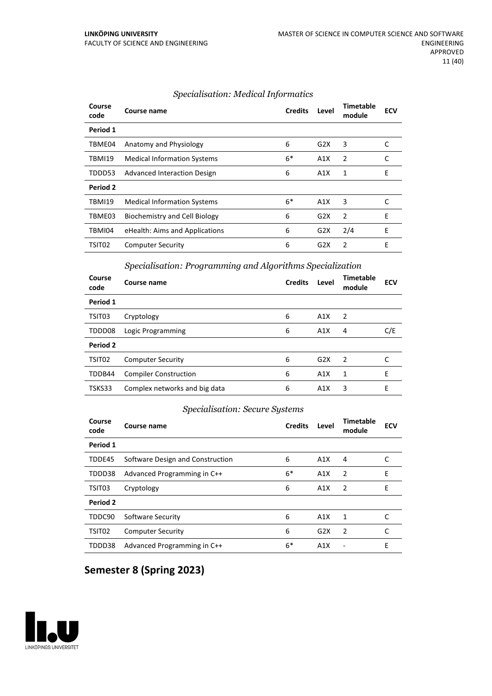| Course<br>code | Course name                        | <b>Credits</b> | Level            | <b>Timetable</b><br>module | <b>ECV</b> |
|----------------|------------------------------------|----------------|------------------|----------------------------|------------|
| Period 1       |                                    |                |                  |                            |            |
| TBME04         | Anatomy and Physiology             | 6              | G2X              | 3                          | C          |
| <b>TBMI19</b>  | <b>Medical Information Systems</b> | $6*$           | A1X              | 2                          | C          |
| TDDD53         | Advanced Interaction Design        | 6              | A1X              | 1                          | E          |
| Period 2       |                                    |                |                  |                            |            |
| <b>TBMI19</b>  | <b>Medical Information Systems</b> | $6*$           | A1X              | 3                          | C          |
| TBME03         | Biochemistry and Cell Biology      | 6              | G <sub>2</sub> X | 2                          | E          |
| TBMI04         | eHealth: Aims and Applications     | 6              | G2X              | 2/4                        | E          |
| TSIT02         | <b>Computer Security</b>           | 6              | G <sub>2</sub> X | 2                          | E          |

## *Specialisation: Medical Informatics*

#### *Specialisation: Programming and Algorithms Specialization*

| Course<br>code     | Course name                   | <b>Credits</b> | Level | <b>Timetable</b><br>module | <b>ECV</b> |
|--------------------|-------------------------------|----------------|-------|----------------------------|------------|
| Period 1           |                               |                |       |                            |            |
| TSIT03             | Cryptology                    | 6              | A1X   | 2                          |            |
| TDDD08             | Logic Programming             | 6              | A1X   | 4                          | C/E        |
| Period 2           |                               |                |       |                            |            |
| TSIT <sub>02</sub> | <b>Computer Security</b>      | 6              | G2X   | $\mathcal{P}$              |            |
| TDDB44             | <b>Compiler Construction</b>  | 6              | A1X   | 1                          | E          |
| TSKS33             | Complex networks and big data | 6              | A1X   | 3                          | F          |

#### *Specialisation: Secure Systems*

| Course<br>code     | Course name                      | <b>Credits</b> | Level | <b>Timetable</b><br>module | <b>ECV</b> |
|--------------------|----------------------------------|----------------|-------|----------------------------|------------|
| Period 1           |                                  |                |       |                            |            |
| TDDE45             | Software Design and Construction | 6              | A1X   | 4                          |            |
| TDDD38             | Advanced Programming in C++      | $6*$           | A1X   | $\overline{2}$             | E          |
| TSIT03             | Cryptology                       | 6              | A1X   | $\overline{2}$             | Ε          |
| Period 2           |                                  |                |       |                            |            |
| TDDC90             | Software Security                | 6              | A1X   | 1                          |            |
| TSIT <sub>02</sub> | <b>Computer Security</b>         | 6              | G2X   | 2                          |            |
| TDDD38             | Advanced Programming in C++      | $6*$           | A1X   |                            | E          |

## **Semester 8 (Spring 2023)**

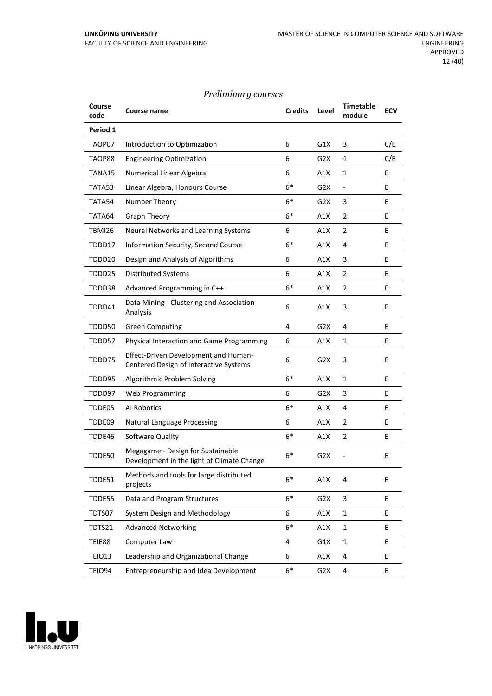## *Preliminary courses*

| Course<br>code | Course name                                                                     | <b>Credits</b> | Level            | <b>Timetable</b><br>module | <b>ECV</b> |
|----------------|---------------------------------------------------------------------------------|----------------|------------------|----------------------------|------------|
| Period 1       |                                                                                 |                |                  |                            |            |
| TAOP07         | Introduction to Optimization                                                    | 6              | G1X              | 3                          | C/E        |
| TAOP88         | <b>Engineering Optimization</b>                                                 | 6              | G2X              | 1                          | C/E        |
| TANA15         | Numerical Linear Algebra                                                        | 6              | A1X              | 1                          | E          |
| TATA53         | Linear Algebra, Honours Course                                                  | $6*$           | G2X              | $\overline{\phantom{0}}$   | E          |
| TATA54         | Number Theory                                                                   | $6*$           | G2X              | 3                          | E          |
| TATA64         | <b>Graph Theory</b>                                                             | $6*$           | A1X              | 2                          | E          |
| TBMI26         | Neural Networks and Learning Systems                                            | 6              | A1X              | 2                          | E          |
| TDDD17         | Information Security, Second Course                                             | $6*$           | A1X              | 4                          | E          |
| TDDD20         | Design and Analysis of Algorithms                                               | 6              | A1X              | 3                          | E          |
| TDDD25         | <b>Distributed Systems</b>                                                      | 6              | A1X              | $\overline{2}$             | Е          |
| TDDD38         | Advanced Programming in C++                                                     | $6*$           | A1X              | 2                          | E          |
| TDDD41         | Data Mining - Clustering and Association<br>Analysis                            | 6              | A1X              | 3                          | E          |
| TDDD50         | <b>Green Computing</b>                                                          | 4              | G2X              | 4                          | E          |
| TDDD57         | Physical Interaction and Game Programming                                       | 6              | A1X              | 1                          | E          |
| TDDD75         | Effect-Driven Development and Human-<br>Centered Design of Interactive Systems  | 6              | G2X              | 3                          | E          |
| TDDD95         | Algorithmic Problem Solving                                                     | $6*$           | A1X              | 1                          | E          |
| TDDD97         | Web Programming                                                                 | 6              | G2X              | 3                          | E          |
| TDDE05         | Al Robotics                                                                     | $6*$           | A1X              | 4                          | E          |
| TDDE09         | <b>Natural Language Processing</b>                                              | 6              | A1X              | $\overline{2}$             | Е          |
| TDDE46         | Software Quality                                                                | $6*$           | A1X              | $\overline{2}$             | Ε          |
| TDDE50         | Megagame - Design for Sustainable<br>Development in the light of Climate Change | $6*$           | G2X              |                            | E          |
| TDDE51         | Methods and tools for large distributed<br>projects                             | $6*$           | A1X              | 4                          | E          |
| TDDE55         | Data and Program Structures                                                     | $6*$           | G <sub>2</sub> X | 3                          | E          |
| TDTS07         | System Design and Methodology                                                   | 6              | A1X              | $\mathbf{1}$               | E          |
| TDTS21         | <b>Advanced Networking</b>                                                      | $6*$           | A1X              | $\mathbf 1$                | E.         |
| TEIE88         | Computer Law                                                                    | 4              | G1X              | $\mathbf{1}$               | E          |
| TEIO13         | Leadership and Organizational Change                                            | 6              | A1X              | 4                          | E          |
| <b>TEIO94</b>  | Entrepreneurship and Idea Development                                           | $6*$           | G2X              | 4                          | E          |

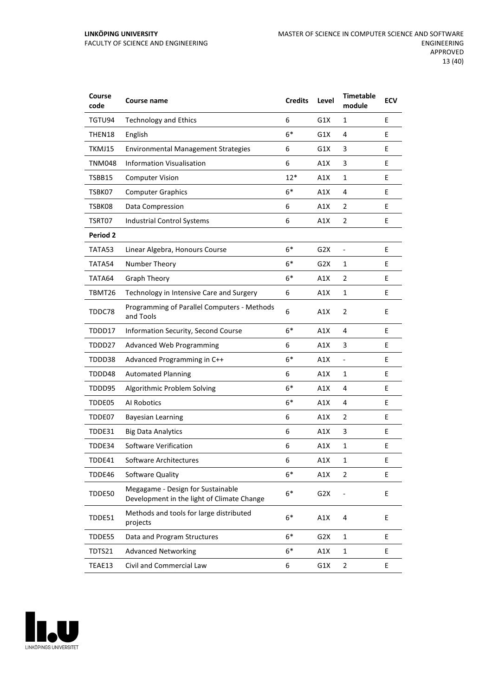| Course<br>code  | <b>Course name</b>                                                              | <b>Credits</b> | Level            | <b>Timetable</b><br>module | <b>ECV</b> |
|-----------------|---------------------------------------------------------------------------------|----------------|------------------|----------------------------|------------|
| TGTU94          | <b>Technology and Ethics</b>                                                    | 6              | G1X              | 1                          | E          |
| THEN18          | English                                                                         | $6*$           | G1X              | 4                          | Е          |
| TKMJ15          | <b>Environmental Management Strategies</b>                                      | 6              | G1X              | 3                          | E          |
| <b>TNM048</b>   | <b>Information Visualisation</b>                                                | 6              | A1X              | 3                          | E          |
| TSBB15          | <b>Computer Vision</b>                                                          | $12*$          | A1X              | 1                          | E          |
| TSBK07          | <b>Computer Graphics</b>                                                        | $6*$           | A1X              | 4                          | E          |
| TSBK08          | Data Compression                                                                | 6              | A1X              | 2                          | Ε          |
| TSRT07          | Industrial Control Systems                                                      | 6              | A1X              | $\overline{2}$             | E          |
| <b>Period 2</b> |                                                                                 |                |                  |                            |            |
| TATA53          | Linear Algebra, Honours Course                                                  | $6*$           | G <sub>2</sub> X | $\frac{1}{2}$              | E          |
| TATA54          | Number Theory                                                                   | $6*$           | G2X              | $\mathbf{1}$               | Е          |
| TATA64          | <b>Graph Theory</b>                                                             | $6*$           | A1X              | $\overline{2}$             | Е          |
| TBMT26          | Technology in Intensive Care and Surgery                                        | 6              | A1X              | 1                          | E          |
| TDDC78          | Programming of Parallel Computers - Methods<br>and Tools                        | 6              | A1X              | $\overline{2}$             | E          |
| TDDD17          | Information Security, Second Course                                             | $6*$           | A1X              | 4                          | E          |
| TDDD27          | <b>Advanced Web Programming</b>                                                 | 6              | A1X              | 3                          | Е          |
| TDDD38          | Advanced Programming in C++                                                     | $6*$           | A1X              | $\overline{\phantom{a}}$   | E          |
| TDDD48          | <b>Automated Planning</b>                                                       | 6              | A1X              | $\mathbf{1}$               | E          |
| TDDD95          | Algorithmic Problem Solving                                                     | $6*$           | A1X              | 4                          | E          |
| TDDE05          | Al Robotics                                                                     | $6*$           | A1X              | 4                          | E          |
| TDDE07          | <b>Bayesian Learning</b>                                                        | 6              | A1X              | $\overline{2}$             | Е          |
| TDDE31          | <b>Big Data Analytics</b>                                                       | 6              | A1X              | 3                          | E          |
| TDDE34          | Software Verification                                                           | 6              | A1X              | 1                          | E          |
| TDDE41          | Software Architectures                                                          | 6              | A1X              | 1                          | Ε          |
| TDDE46          | Software Quality                                                                | $6*$           | A1X              | $\overline{2}$             | E          |
| TDDE50          | Megagame - Design for Sustainable<br>Development in the light of Climate Change | $6*$           | G <sub>2</sub> X |                            | E          |
| TDDE51          | Methods and tools for large distributed<br>projects                             | $6*$           | A1X              | 4                          | E          |
| TDDE55          | Data and Program Structures                                                     | $6*$           | G2X              | $\mathbf{1}$               | E          |
| TDTS21          | <b>Advanced Networking</b>                                                      | $6*$           | A1X              | $\mathbf{1}$               | E          |
| TEAE13          | Civil and Commercial Law                                                        | 6              | G1X              | $\overline{2}$             | E          |

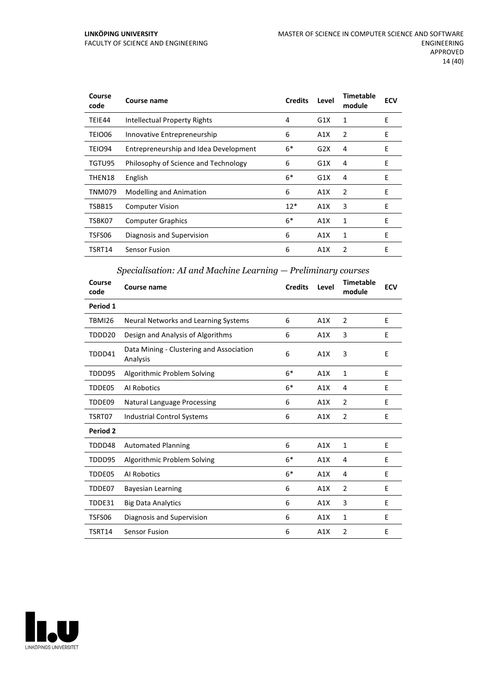| Course<br>code | Course name                           | <b>Credits</b> | Level | <b>Timetable</b><br>module | <b>ECV</b> |
|----------------|---------------------------------------|----------------|-------|----------------------------|------------|
| TEIE44         | Intellectual Property Rights          | 4              | G1X   | 1                          | E          |
| TEIO06         | Innovative Entrepreneurship           | 6              | A1X   | 2                          | E          |
| TEIO94         | Entrepreneurship and Idea Development | $6*$           | G2X   | 4                          | E          |
| TGTU95         | Philosophy of Science and Technology  | 6              | G1X   | 4                          | E          |
| THEN18         | English                               | $6*$           | G1X   | 4                          | E          |
| TNM079         | <b>Modelling and Animation</b>        | 6              | A1X   | 2                          | E          |
| TSBB15         | <b>Computer Vision</b>                | $12*$          | A1X   | 3                          | E          |
| TSBK07         | <b>Computer Graphics</b>              | $6*$           | A1X   | 1                          | E          |
| TSFS06         | Diagnosis and Supervision             | 6              | A1X   | 1                          | Ε          |
| TSRT14         | <b>Sensor Fusion</b>                  | 6              | A1X   | 2                          | E          |

## *Specialisation: AI and Machine Learning — Preliminary courses*

| Course<br>code | Course name                                          | <b>Credits</b> | Level | <b>Timetable</b><br>module | <b>ECV</b> |
|----------------|------------------------------------------------------|----------------|-------|----------------------------|------------|
| Period 1       |                                                      |                |       |                            |            |
| <b>TBMI26</b>  | Neural Networks and Learning Systems                 | 6              | A1X   | $\overline{2}$             | E          |
| TDDD20         | Design and Analysis of Algorithms                    | 6              | A1X   | 3                          | E          |
| TDDD41         | Data Mining - Clustering and Association<br>Analysis | 6              | A1X   | 3                          | E          |
| TDDD95         | Algorithmic Problem Solving                          | $6*$           | A1X   | $\mathbf{1}$               | E          |
| TDDE05         | Al Robotics                                          | $6*$           | A1X   | 4                          | Е          |
| TDDE09         | <b>Natural Language Processing</b>                   | 6              | A1X   | $\overline{2}$             | E          |
| TSRT07         | <b>Industrial Control Systems</b>                    | 6              | A1X   | $\overline{2}$             | E          |
| Period 2       |                                                      |                |       |                            |            |
| TDDD48         | <b>Automated Planning</b>                            | 6              | A1X   | $\mathbf{1}$               | E          |
| TDDD95         | Algorithmic Problem Solving                          | $6*$           | A1X   | 4                          | E          |
| TDDE05         | Al Robotics                                          | $6*$           | A1X   | 4                          | E          |
| TDDE07         | <b>Bayesian Learning</b>                             | 6              | A1X   | $\overline{2}$             | Е          |
| TDDE31         | <b>Big Data Analytics</b>                            | 6              | A1X   | 3                          | E          |
| TSFS06         | Diagnosis and Supervision                            | 6              | A1X   | 1                          | E          |
| TSRT14         | <b>Sensor Fusion</b>                                 | 6              | A1X   | $\overline{2}$             | E          |

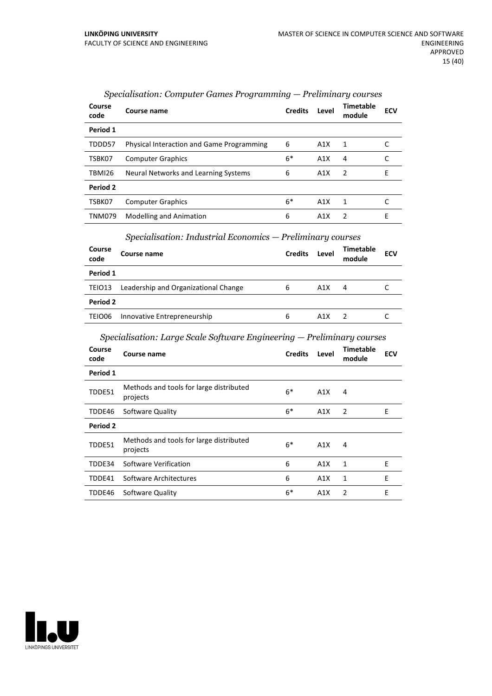| Course<br>code  | Course name                                      | <b>Credits</b> | Level | Timetable<br>module | <b>ECV</b> |
|-----------------|--------------------------------------------------|----------------|-------|---------------------|------------|
| Period 1        |                                                  |                |       |                     |            |
| TDDD57          | <b>Physical Interaction and Game Programming</b> | 6              | A1X   | 1                   |            |
| TSBK07          | <b>Computer Graphics</b>                         | $6*$           | A1X   | 4                   |            |
| TBMI26          | Neural Networks and Learning Systems             | 6              | A1X   | $\overline{2}$      | F          |
| <b>Period 2</b> |                                                  |                |       |                     |            |
| TSBK07          | <b>Computer Graphics</b>                         | $6*$           | A1X   | 1                   |            |
| <b>TNM079</b>   | <b>Modelling and Animation</b>                   | 6              | A1X   | $\mathcal{P}$       | E          |

## *Specialisation: Computer Games Programming — Preliminary courses*

#### *Specialisation: Industrial Economics — Preliminary courses*

| Course<br>code | Course name                          | <b>Credits</b> | Level | Timetable<br>module | <b>ECV</b> |  |  |  |
|----------------|--------------------------------------|----------------|-------|---------------------|------------|--|--|--|
| Period 1       |                                      |                |       |                     |            |  |  |  |
| TEIO13         | Leadership and Organizational Change | 6              | A1X   | 4                   |            |  |  |  |
| Period 2       |                                      |                |       |                     |            |  |  |  |
| TEIO06         | Innovative Entrepreneurship          | 6              | A1X   |                     |            |  |  |  |

## *Specialisation: Large Scale Software Engineering — Preliminary courses*

| Course<br>code | Course name                                         | <b>Credits</b> | Level | <b>Timetable</b><br>module | <b>ECV</b> |
|----------------|-----------------------------------------------------|----------------|-------|----------------------------|------------|
| Period 1       |                                                     |                |       |                            |            |
| TDDE51         | Methods and tools for large distributed<br>projects | $6*$           | A1X   | 4                          |            |
| TDDE46         | Software Quality                                    | $6*$           | A1X   | 2                          | E          |
| Period 2       |                                                     |                |       |                            |            |
| TDDE51         | Methods and tools for large distributed<br>projects | $6*$           | A1X   | 4                          |            |
| TDDE34         | Software Verification                               | 6              | A1X   | 1                          | E          |
| TDDE41         | Software Architectures                              | 6              | A1X   | 1                          | E          |
| TDDE46         | Software Quality                                    | $6*$           | A1X   | $\mathcal{P}$              | E          |

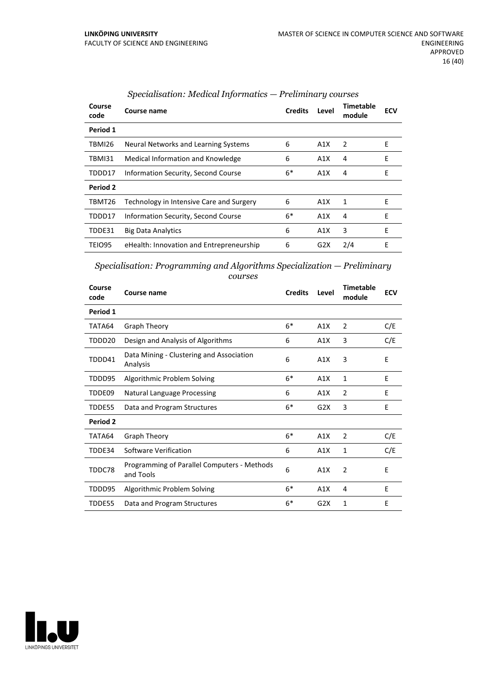| Course<br>code | Course name                              | <b>Credits</b> | Level | Timetable<br>module | <b>ECV</b> |
|----------------|------------------------------------------|----------------|-------|---------------------|------------|
| Period 1       |                                          |                |       |                     |            |
| TBMI26         | Neural Networks and Learning Systems     | 6              | A1X   | 2                   | E          |
| TBMI31         | Medical Information and Knowledge        | 6              | A1X   | 4                   | E          |
| TDDD17         | Information Security, Second Course      | $6*$           | A1X   | 4                   | E          |
| Period 2       |                                          |                |       |                     |            |
| TBMT26         | Technology in Intensive Care and Surgery | 6              | A1X   | 1                   | E          |
| TDDD17         | Information Security, Second Course      | $6*$           | A1X   | 4                   | F          |
| TDDE31         | <b>Big Data Analytics</b>                | 6              | A1X   | 3                   | F          |
| TEIO95         | eHealth: Innovation and Entrepreneurship | 6              | G2X   | 2/4                 | E          |

## *Specialisation: Medical Informatics — Preliminary courses*

*Specialisation: Programming and Algorithms Specialization — Preliminary courses*

| Course<br>code  | Course name                                              | <b>Credits</b> | Level | Timetable<br>module | <b>ECV</b> |
|-----------------|----------------------------------------------------------|----------------|-------|---------------------|------------|
| Period 1        |                                                          |                |       |                     |            |
| TATA64          | Graph Theory                                             | $6*$           | A1X   | $\overline{2}$      | C/E        |
| TDDD20          | Design and Analysis of Algorithms                        | 6              | A1X   | 3                   | C/E        |
| TDDD41          | Data Mining - Clustering and Association<br>Analysis     | 6              | A1X   | 3                   | E          |
| TDDD95          | Algorithmic Problem Solving                              | $6*$           | A1X   | 1                   | E          |
| TDDE09          | <b>Natural Language Processing</b>                       | 6              | A1X   | $\overline{2}$      | E          |
| TDDE55          | Data and Program Structures                              | $6*$           | G2X   | 3                   | E          |
| <b>Period 2</b> |                                                          |                |       |                     |            |
| TATA64          | Graph Theory                                             | $6*$           | A1X   | $\overline{2}$      | C/E        |
| TDDE34          | Software Verification                                    | 6              | A1X   | 1                   | C/E        |
| TDDC78          | Programming of Parallel Computers - Methods<br>and Tools | 6              | A1X   | $\overline{2}$      | E          |
| TDDD95          | Algorithmic Problem Solving                              | $6*$           | A1X   | 4                   | E          |
| TDDE55          | Data and Program Structures                              | $6*$           | G2X   | 1                   | E          |

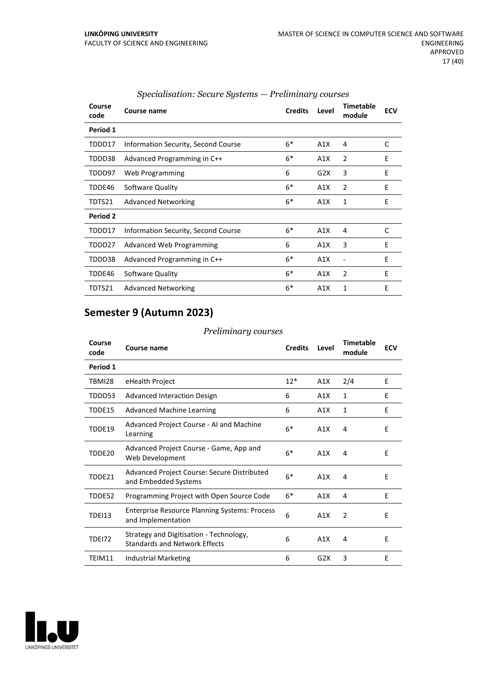| Course<br>code | Course name                         | <b>Credits</b> | Level | <b>Timetable</b><br>module | <b>ECV</b> |
|----------------|-------------------------------------|----------------|-------|----------------------------|------------|
| Period 1       |                                     |                |       |                            |            |
| TDDD17         | Information Security, Second Course | $6*$           | A1X   | 4                          | C          |
| TDDD38         | Advanced Programming in C++         | $6*$           | A1X   | 2                          | E          |
| TDDD97         | Web Programming                     | 6              | G2X   | 3                          | E          |
| TDDE46         | Software Quality                    | $6*$           | A1X   | 2                          | E          |
| TDTS21         | <b>Advanced Networking</b>          | $6*$           | A1X   | 1                          | E          |
| Period 2       |                                     |                |       |                            |            |
| TDDD17         | Information Security, Second Course | $6*$           | A1X   | $\overline{4}$             | C          |
| TDDD27         | Advanced Web Programming            | 6              | A1X   | 3                          | E          |
| TDDD38         | Advanced Programming in C++         | $6*$           | A1X   |                            | E          |
| TDDE46         | Software Quality                    | $6*$           | A1X   | $\overline{2}$             | E          |
| TDTS21         | <b>Advanced Networking</b>          | $6*$           | A1X   | 1                          | E          |

## *Specialisation: Secure Systems — Preliminary courses*

## **Semester 9 (Autumn 2023)**

#### *Preliminary courses*

| Course<br>code | Course name                                                                     | <b>Credits</b> | Level | <b>Timetable</b><br>module | <b>ECV</b> |
|----------------|---------------------------------------------------------------------------------|----------------|-------|----------------------------|------------|
| Period 1       |                                                                                 |                |       |                            |            |
| TBMI28         | eHealth Project                                                                 | $12*$          | A1X   | 2/4                        | E          |
| TDDD53         | Advanced Interaction Design                                                     | 6              | A1X   | 1                          | E          |
| TDDE15         | <b>Advanced Machine Learning</b>                                                | 6              | A1X   | 1                          | E          |
| TDDE19         | Advanced Project Course - AI and Machine<br>Learning                            | $6*$           | A1X   | 4                          | E          |
| TDDE20         | Advanced Project Course - Game, App and<br>Web Development                      | $6*$           | A1X   | 4                          | E          |
| TDDE21         | Advanced Project Course: Secure Distributed<br>and Embedded Systems             | $6*$           | A1X   | 4                          | E          |
| TDDE52         | Programming Project with Open Source Code                                       | $6*$           | A1X   | 4                          | E          |
| <b>TDEI13</b>  | <b>Enterprise Resource Planning Systems: Process</b><br>and Implementation      | 6              | A1X   | 2                          | E          |
| <b>TDE172</b>  | Strategy and Digitisation - Technology,<br><b>Standards and Network Effects</b> | 6              | A1X   | 4                          | E          |
| TEIM11         | Industrial Marketing                                                            | 6              | G2X   | 3                          | E          |

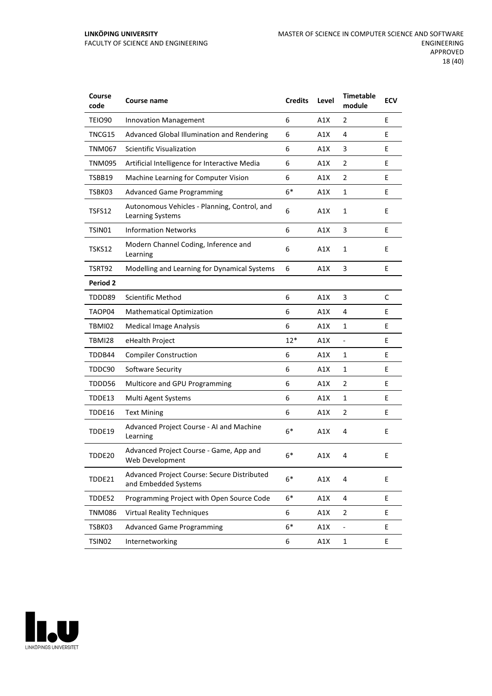| Course<br>code  | <b>Course name</b>                                                  | <b>Credits</b> | Level | <b>Timetable</b><br>module   | <b>ECV</b> |
|-----------------|---------------------------------------------------------------------|----------------|-------|------------------------------|------------|
| TEIO90          | <b>Innovation Management</b>                                        | 6              | A1X   | 2                            | E          |
| TNCG15          | Advanced Global Illumination and Rendering                          | 6              | A1X   | 4                            | E          |
| <b>TNM067</b>   | <b>Scientific Visualization</b>                                     | 6              | A1X   | 3                            | E          |
| <b>TNM095</b>   | Artificial Intelligence for Interactive Media                       | 6              | A1X   | 2                            | E          |
| TSBB19          | Machine Learning for Computer Vision                                | 6              | A1X   | $\overline{2}$               | E          |
| TSBK03          | <b>Advanced Game Programming</b>                                    | $6*$           | A1X   | $\mathbf{1}$                 | E          |
| TSFS12          | Autonomous Vehicles - Planning, Control, and<br>Learning Systems    | 6              | A1X   | $\mathbf{1}$                 | E          |
| TSIN01          | <b>Information Networks</b>                                         | 6              | A1X   | 3                            | E          |
| TSKS12          | Modern Channel Coding, Inference and<br>Learning                    | 6              | A1X   | $\mathbf{1}$                 | E          |
| TSRT92          | Modelling and Learning for Dynamical Systems                        | 6              | A1X   | 3                            | Е          |
| <b>Period 2</b> |                                                                     |                |       |                              |            |
| TDDD89          | <b>Scientific Method</b>                                            | 6              | A1X   | 3                            | С          |
| TAOP04          | <b>Mathematical Optimization</b>                                    | 6              | A1X   | 4                            | E          |
| TBMI02          | <b>Medical Image Analysis</b>                                       | 6              | A1X   | 1                            | E          |
| <b>TBMI28</b>   | eHealth Project                                                     | $12*$          | A1X   | $\blacksquare$               | E          |
| TDDB44          | <b>Compiler Construction</b>                                        | 6              | A1X   | 1                            | E          |
| TDDC90          | Software Security                                                   | 6              | A1X   | $\mathbf{1}$                 | E          |
| TDDD56          | Multicore and GPU Programming                                       | 6              | A1X   | 2                            | E          |
| TDDE13          | Multi Agent Systems                                                 | 6              | A1X   | 1                            | E          |
| TDDE16          | <b>Text Mining</b>                                                  | 6              | A1X   | $\overline{2}$               | E          |
| TDDE19          | Advanced Project Course - AI and Machine<br>Learning                | $6*$           | A1X   | 4                            | E          |
| TDDE20          | Advanced Project Course - Game, App and<br>Web Development          | $6*$           | A1X   | 4                            | E          |
| TDDE21          | Advanced Project Course: Secure Distributed<br>and Embedded Systems | $6*$           | A1X   | 4                            | E          |
| TDDE52          | Programming Project with Open Source Code                           | $6*$           | A1X   | 4                            | E          |
| <b>TNM086</b>   | <b>Virtual Reality Techniques</b>                                   | 6              | A1X   | 2                            | E.         |
| TSBK03          | <b>Advanced Game Programming</b>                                    | $6*$           | A1X   | $\qquad \qquad \blacksquare$ | E.         |
| TSIN02          | Internetworking                                                     | 6              | A1X   | $\mathbf 1$                  | E          |

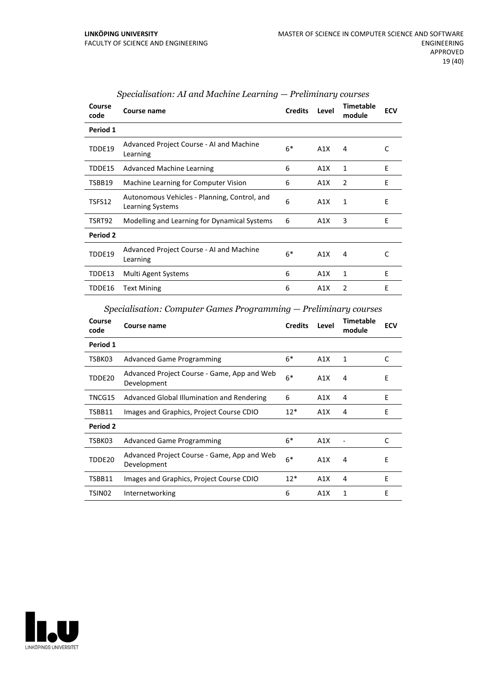| Course<br>code | Course name                                                             | <b>Credits</b> | Level | <b>Timetable</b><br>module | <b>ECV</b> |
|----------------|-------------------------------------------------------------------------|----------------|-------|----------------------------|------------|
| Period 1       |                                                                         |                |       |                            |            |
| TDDE19         | Advanced Project Course - AI and Machine<br>Learning                    | $6*$           | A1X   | 4                          | C          |
| TDDE15         | <b>Advanced Machine Learning</b>                                        | 6              | A1X   | 1                          | E          |
| TSBB19         | Machine Learning for Computer Vision                                    | 6              | A1X   | 2                          | E          |
| TSFS12         | Autonomous Vehicles - Planning, Control, and<br><b>Learning Systems</b> | 6              | A1X   | $\mathbf{1}$               | E          |
| TSRT92         | Modelling and Learning for Dynamical Systems                            | 6              | A1X   | 3                          | E          |
| Period 2       |                                                                         |                |       |                            |            |
| TDDE19         | Advanced Project Course - AI and Machine<br>Learning                    | $6*$           | A1X   | 4                          | C          |
| TDDE13         | Multi Agent Systems                                                     | 6              | A1X   | 1                          | E          |
| TDDE16         | <b>Text Mining</b>                                                      | 6              | A1X   | 2                          | E          |

## *Specialisation: AI and Machine Learning — Preliminary courses*

*Specialisation: Computer Games Programming — Preliminary courses*

| Course<br>code | Course name                                                | <b>Credits</b> | Level            | <b>Timetable</b><br>module | <b>ECV</b> |
|----------------|------------------------------------------------------------|----------------|------------------|----------------------------|------------|
| Period 1       |                                                            |                |                  |                            |            |
| TSBK03         | <b>Advanced Game Programming</b>                           | $6*$           | A1X              | 1                          | C          |
| TDDE20         | Advanced Project Course - Game, App and Web<br>Development | $6*$           | A1X              | 4                          | E          |
| TNCG15         | Advanced Global Illumination and Rendering                 | 6              | A1X              | 4                          | E          |
| TSBB11         | Images and Graphics, Project Course CDIO                   | $12*$          | A1X              | 4                          | E          |
| Period 2       |                                                            |                |                  |                            |            |
| TSBK03         | <b>Advanced Game Programming</b>                           | $6*$           | A1X              |                            | C          |
| TDDE20         | Advanced Project Course - Game, App and Web<br>Development | $6*$           | A1X              | 4                          | E          |
| TSBB11         | Images and Graphics, Project Course CDIO                   | $12*$          | A1X              | 4                          | F          |
| TSIN02         | Internetworking                                            | 6              | A <sub>1</sub> X | 1                          | E          |

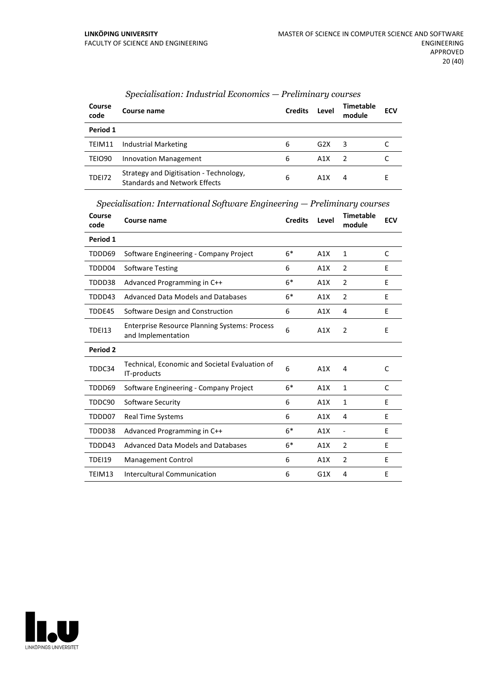| Course<br>code     | Course name                                                                     | <b>Credits</b> | Level | Timetable<br>module | <b>ECV</b> |
|--------------------|---------------------------------------------------------------------------------|----------------|-------|---------------------|------------|
| Period 1           |                                                                                 |                |       |                     |            |
| TEIM11             | Industrial Marketing                                                            | 6              | G2X   | 3                   |            |
| TEIO <sub>90</sub> | Innovation Management                                                           | 6              | A1X   |                     |            |
| <b>TDE172</b>      | Strategy and Digitisation - Technology,<br><b>Standards and Network Effects</b> | 6              | A1X   | 4                   | F.         |

## *Specialisation: Industrial Economics — Preliminary courses*

*Specialisation: International Software Engineering — Preliminary courses*

| Course<br>code | <b>Course name</b>                                                         | <b>Credits</b> | Level | <b>Timetable</b><br>module | <b>ECV</b> |
|----------------|----------------------------------------------------------------------------|----------------|-------|----------------------------|------------|
| Period 1       |                                                                            |                |       |                            |            |
| TDDD69         | Software Engineering - Company Project                                     | $6*$           | A1X   | 1                          | C          |
| TDDD04         | <b>Software Testing</b>                                                    | 6              | A1X   | 2                          | E          |
| TDDD38         | Advanced Programming in C++                                                | $6*$           | A1X   | 2                          | E          |
| TDDD43         | Advanced Data Models and Databases                                         | $6*$           | A1X   | $\overline{2}$             | E          |
| TDDE45         | Software Design and Construction                                           | 6              | A1X   | 4                          | E          |
| <b>TDEI13</b>  | <b>Enterprise Resource Planning Systems: Process</b><br>and Implementation | 6              | A1X   | 2                          | E          |
| Period 2       |                                                                            |                |       |                            |            |
| TDDC34         | Technical, Economic and Societal Evaluation of<br>IT-products              | 6              | A1X   | 4                          | C          |
| TDDD69         | Software Engineering - Company Project                                     | $6*$           | A1X   | 1                          | C          |
| TDDC90         | Software Security                                                          | 6              | A1X   | $\mathbf{1}$               | E          |
| TDDD07         | <b>Real Time Systems</b>                                                   | 6              | A1X   | 4                          | E          |
| TDDD38         | Advanced Programming in C++                                                | $6*$           | A1X   | $\overline{a}$             | E          |
| TDDD43         | Advanced Data Models and Databases                                         | $6*$           | A1X   | $\overline{2}$             | E          |
| <b>TDEI19</b>  | Management Control                                                         | 6              | A1X   | $\overline{2}$             | E          |
| TEIM13         | Intercultural Communication                                                | 6              | G1X   | 4                          | E          |

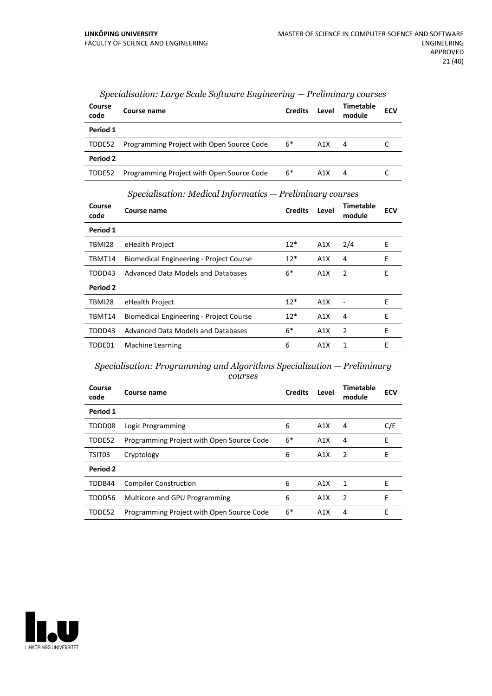| Course<br>code | Course name                               | <b>Credits</b> | Level | <b>Timetable</b><br>module | <b>ECV</b> |
|----------------|-------------------------------------------|----------------|-------|----------------------------|------------|
| Period 1       |                                           |                |       |                            |            |
| TDDE52         | Programming Project with Open Source Code | 6*             | A1X   | 4                          |            |
| Period 2       |                                           |                |       |                            |            |
| TDDE52         | Programming Project with Open Source Code | $6*$           | A1X   | 4                          |            |

#### *Specialisation: Large Scale Software Engineering — Preliminary courses*

*Specialisation: Medical Informatics — Preliminary courses*

| Course<br>code | Course name                                    | <b>Credits</b> | Level | Timetable<br>module | <b>ECV</b> |
|----------------|------------------------------------------------|----------------|-------|---------------------|------------|
| Period 1       |                                                |                |       |                     |            |
| TBMI28         | eHealth Project                                | $12*$          | A1X   | 2/4                 | E          |
| TBMT14         | <b>Biomedical Engineering - Project Course</b> | $12*$          | A1X   | 4                   | E          |
| TDDD43         | Advanced Data Models and Databases             | $6*$           | A1X   | -2                  | E          |
| Period 2       |                                                |                |       |                     |            |
| TBMI28         | eHealth Project                                | $12*$          | A1X   |                     | E          |
| TBMT14         | Biomedical Engineering - Project Course        | $12*$          | A1X   | 4                   | F          |
| TDDD43         | Advanced Data Models and Databases             | $6*$           | A1X   | 2                   | E          |
| TDDE01         | Machine Learning                               | 6              | A1X   | 1                   | E          |

*Specialisation: Programming and Algorithms Specialization — Preliminary courses*

| Course<br>code | Course name                               | <b>Credits</b> | Level            | <b>Timetable</b><br>module | <b>ECV</b> |
|----------------|-------------------------------------------|----------------|------------------|----------------------------|------------|
| Period 1       |                                           |                |                  |                            |            |
| TDDD08         | Logic Programming                         | 6              | A1X              | 4                          | C/E        |
| TDDE52         | Programming Project with Open Source Code | $6*$           | A1X              | 4                          | E          |
| TSIT03         | Cryptology                                | 6              | A1X              | 2                          | Е          |
| Period 2       |                                           |                |                  |                            |            |
| TDDB44         | <b>Compiler Construction</b>              | 6              | A1X              | 1                          | E          |
| TDDD56         | Multicore and GPU Programming             | 6              | A <sub>1</sub> X | $\overline{2}$             | E          |
| TDDE52         | Programming Project with Open Source Code | $6*$           | A1X              | 4                          | E          |

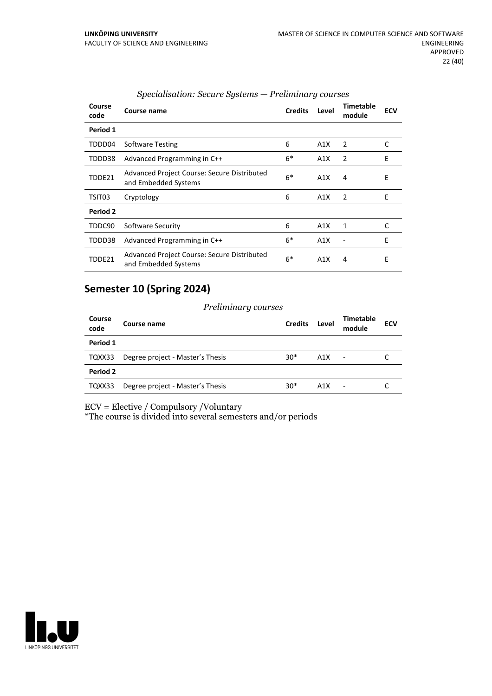| Course<br>code | Course name                                                         | <b>Credits</b> | Level | Timetable<br>module | <b>ECV</b> |
|----------------|---------------------------------------------------------------------|----------------|-------|---------------------|------------|
| Period 1       |                                                                     |                |       |                     |            |
| TDDD04         | <b>Software Testing</b>                                             | 6              | A1X   | 2                   | C          |
| TDDD38         | Advanced Programming in C++                                         | 6*             | A1X   | $\overline{2}$      | E          |
| TDDE21         | Advanced Project Course: Secure Distributed<br>and Embedded Systems | $6*$           | A1X   | 4                   | E          |
| TSIT03         | Cryptology                                                          | 6              | A1X   | 2                   | E          |
| Period 2       |                                                                     |                |       |                     |            |
| TDDC90         | Software Security                                                   | 6              | A1X   | 1                   | C          |
| TDDD38         | Advanced Programming in C++                                         | 6*             | A1X   |                     | E          |
| TDDE21         | Advanced Project Course: Secure Distributed<br>and Embedded Systems | $6*$           | A1X   | 4                   | E          |

## *Specialisation: Secure Systems — Preliminary courses*

## **Semester 10 (Spring 2024)**

#### *Preliminary courses*

| Course<br>code | Course name                      | <b>Credits</b> | Level | <b>Timetable</b><br>module | <b>ECV</b> |
|----------------|----------------------------------|----------------|-------|----------------------------|------------|
| Period 1       |                                  |                |       |                            |            |
| TQXX33         | Degree project - Master's Thesis | $30*$          | A1X   | $\blacksquare$             |            |
| Period 2       |                                  |                |       |                            |            |
| TQXX33         | Degree project - Master's Thesis | $30*$          | A1X   | ٠                          |            |

ECV = Elective / Compulsory /Voluntary

\*The course is divided into several semesters and/or periods

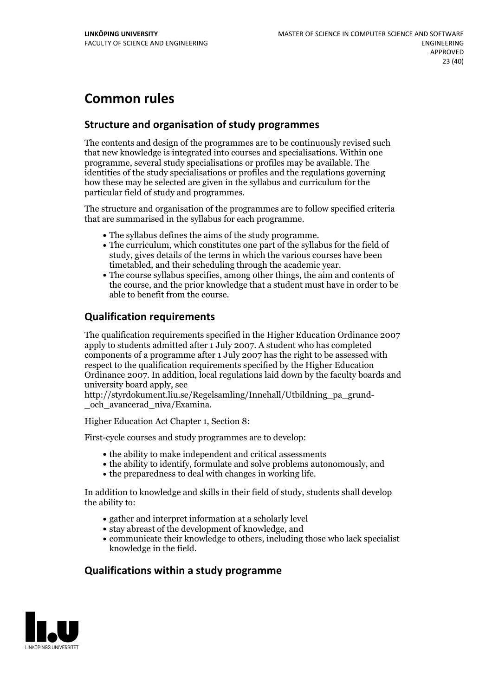## **Common rules**

## **Structure and organisation of study programmes**

The contents and design of the programmes are to be continuously revised such that new knowledge is integrated into courses and specialisations. Within one programme, several study specialisations or profiles may be available. The identities of the study specialisations or profiles and the regulations governing how these may be selected are given in the syllabus and curriculum for the particular field of study and programmes.

The structure and organisation of the programmes are to follow specified criteria that are summarised in the syllabus for each programme.

- 
- The syllabus defines the aims of the study programme.<br>• The curriculum, which constitutes one part of the syllabus for the field of study, gives details of the terms in which the various courses have been
- The course syllabus specifies, among other things, the aim and contents of the course, and the prior knowledge that a student must have in order to be able to benefit from the course.

## **Qualification requirements**

The qualification requirements specified in the Higher Education Ordinance 2007 apply to students admitted after 1 July 2007. A student who has completed components of a programme after 1 July 2007 has the right to be assessed with respect to the qualification requirements specified by the Higher Education Ordinance 2007. In addition, local regulations laid down by the faculty boards and university board apply, see

http://styrdokument.liu.se/Regelsamling/Innehall/Utbildning\_pa\_grund- \_och\_avancerad\_niva/Examina.

Higher Education Act Chapter 1, Section 8:

First-cycle courses and study programmes are to develop:

- the ability to make independent and critical assessments
- the ability to identify, formulate and solve problems autonomously, and
- $\bullet$  the preparedness to deal with changes in working life.

In addition to knowledge and skills in their field of study, students shall develop the ability to:

- gather and interpret information at a scholarly level
- stay abreast of the development of knowledge, and
- communicate their knowledge to others, including those who lack specialist knowledge in the field.

## **Qualifications within a study programme**

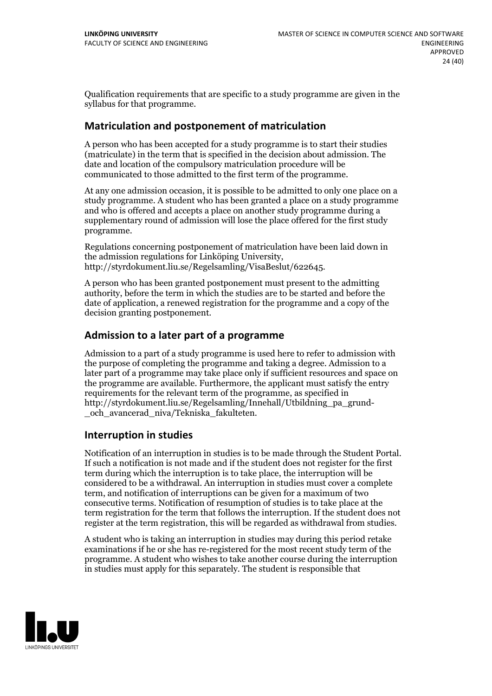Qualification requirements that are specific to a study programme are given in the syllabus for that programme.

## **Matriculation and postponement of matriculation**

A person who has been accepted for a study programme is to start their studies (matriculate) in the term that is specified in the decision about admission. The date and location of the compulsory matriculation procedure will be communicated to those admitted to the first term of the programme.

At any one admission occasion, it is possible to be admitted to only one place on a study programme. A student who has been granted a place on a study programme and who is offered and accepts a place on another study programme during a supplementary round of admission will lose the place offered for the first study programme.

Regulations concerning postponement of matriculation have been laid down in the admission regulations for Linköping University, http://styrdokument.liu.se/Regelsamling/VisaBeslut/622645.

A person who has been granted postponement must present to the admitting authority, before the term in which the studies are to be started and before the date of application, a renewed registration for the programme and a copy of the decision granting postponement.

## **Admission to a later part of a programme**

Admission to a part of a study programme is used here to refer to admission with the purpose of completing the programme and taking a degree. Admission to a later part of a programme may take place only if sufficient resources and space on the programme are available. Furthermore, the applicant must satisfy the entry requirements for the relevant term of the programme, as specified in http://styrdokument.liu.se/Regelsamling/Innehall/Utbildning\_pa\_grund- \_och\_avancerad\_niva/Tekniska\_fakulteten.

## **Interruption in studies**

Notification of an interruption in studies is to be made through the Student Portal. If such <sup>a</sup> notification is not made and if the student does not register for the first term during which the interruption is to take place, the interruption will be considered to be a withdrawal. An interruption in studies must cover a complete term, and notification of interruptions can be given for a maximum of two consecutive terms. Notification of resumption of studies is to take place at the term registration for the term that follows the interruption. If the student does not register at the term registration, this will be regarded as withdrawal from studies.

A student who is taking an interruption in studies may during this period retake examinations if he or she has re-registered for the most recent study term of the programme. A student who wishes to take another course during the interruption in studies must apply for this separately. The student is responsible that

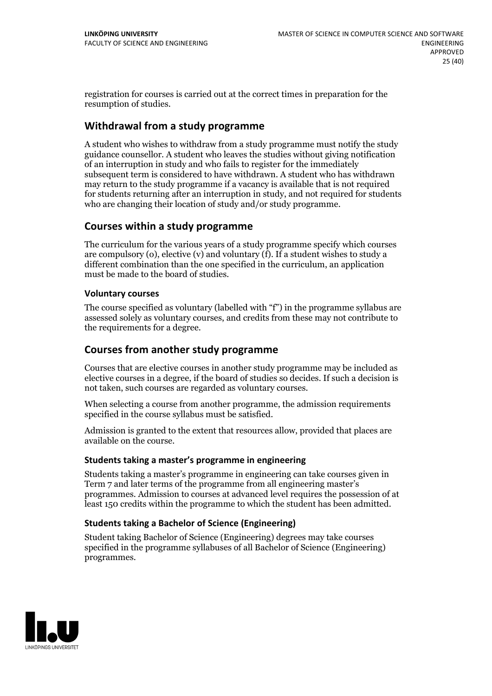registration for courses is carried outat the correct times in preparation for the resumption of studies.

## **Withdrawal from a study programme**

A student who wishes to withdraw from a study programme must notify the study guidance counsellor. A student who leaves the studies without giving notification of an interruption in study and who fails to register for the immediately subsequent term is considered to have withdrawn. A student who has withdrawn may return to the study programme if a vacancy is available that is not required for students returning after an interruption in study, and notrequired for students who are changing their location of study and/or study programme.

## **Courses within a study programme**

The curriculum for the various years of a study programme specify which courses are compulsory (o), elective (v) and voluntary (f). If a student wishes to study a different combination than the one specified in the curriculum, an application must be made to the board of studies.

## **Voluntarycourses**

The course specified as voluntary (labelled with "f") in the programme syllabus are assessed solely as voluntary courses, and credits from these may not contribute to the requirements for a degree.

## **Courses from another study programme**

Courses that are elective courses in another study programme may be included as elective courses in a degree, if the board of studies so decides. If such a decision is not taken, such courses are regarded as voluntary courses.

When selecting a course from another programme, the admission requirements specified in the course syllabus must be satisfied.

Admission is granted to the extent that resources allow, provided that places are available on the course.

## **Students taking a master's programme in engineering**

Students taking a master's programme in engineering can take courses given in Term 7 and later terms of the programme from all engineering master's programmes. Admission to courses at advanced level requires the possession of at least 150 credits within the programme to which the student has been admitted.

## **Students taking a Bachelor of Science (Engineering)**

Student taking Bachelor of Science (Engineering) degrees may take courses specified in the programme syllabuses of all Bachelor of Science (Engineering) programmes.

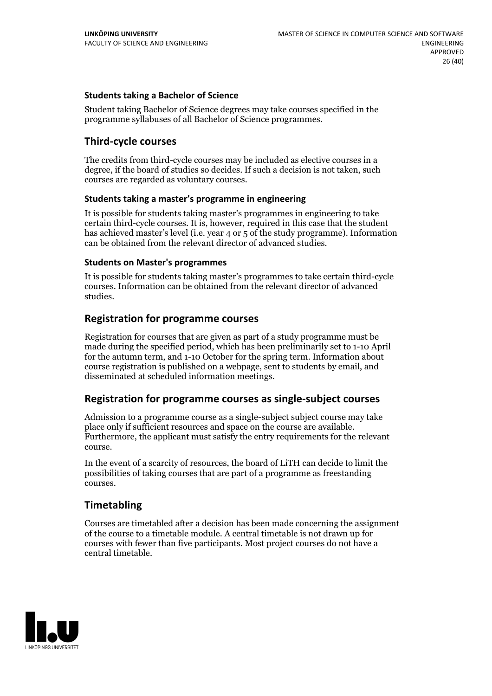## **Students taking a Bachelor of Science**

Student taking Bachelor of Science degrees may take courses specified in the programme syllabuses of all Bachelor of Science programmes.

## **Third-cycle courses**

The credits from third-cycle courses may be included as elective courses in a degree, if the board of studies so decides. If such a decision is not taken, such courses are regarded as voluntary courses.

## **Students taking a master's programme in engineering**

It is possible for students taking master's programmes in engineering to take certain third-cycle courses. It is, however, required in this case that the student has achieved master's level (i.e. year 4 or 5 of the study programme). Information can be obtained from the relevant director of advanced studies.

#### **Students on Master's programmes**

It is possible for students taking master's programmes to take certain third-cycle courses. Information can be obtained from the relevant director of advanced studies.

## **Registration for programme courses**

Registration for courses that are given as part of a study programme must be made during the specified period, which has been preliminarily set to 1-10 April for the autumn term, and 1-10 October for the spring term. Information about course registration is published on a webpage, sent to students by email, and disseminated at scheduled information meetings.

## **Registration for programme courses as single-subject courses**

Admission to a programme course as a single-subject subject course may take place only if sufficient resources and space on the course are available. Furthermore, the applicant must satisfy the entry requirements for the relevant course.

In the event of a scarcity of resources, the board of LiTH can decide to limit the possibilities of taking courses that are part of a programme as freestanding courses.

## **Timetabling**

Courses are timetabled after a decision has been made concerning the assignment of the course to a timetable module. A central timetable is not drawn up for courses with fewer than five participants. Most project courses do not have a central timetable.

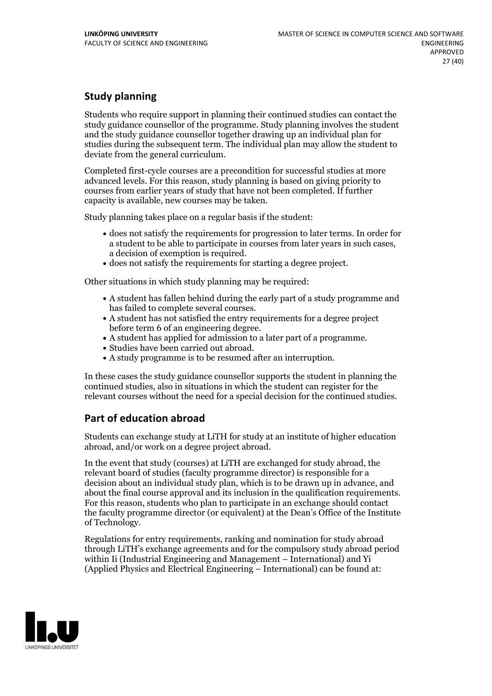## **Study planning**

Students who require support in planning their continued studies can contact the study guidance counsellor of the programme. Study planning involves the student and the study guidance counsellor together drawing up an individual plan for studies during the subsequent term. The individual plan may allow the student to deviate from the general curriculum.

Completed first-cycle courses are a precondition for successful studies at more advanced levels. For this reason, study planning is based on giving priority to courses from earlier years of study that have not been completed. If further capacity is available, new courses may be taken.

Study planning takes place on a regular basis if the student:

- does not satisfy the requirements for progression to later terms. In order for a student to be able to participate in courses from later years in such cases, a decision of exemption is required.<br>
• does not satisfy the requirements for starting a degree project.
- 

Other situations in which study planning may be required:

- A student has fallen behind during the early part of a study programme and has failed to complete several courses.<br>• A student has not satisfied the entry requirements for a degree project
- 
- before term 6 of an engineering degree.<br>
 A student has applied for admission to a later part of a programme.<br>
 Studies have been carried out abroad.<br>
 A study programme is to be resumed after an interruption.
- 
- 

In these cases the study guidance counsellor supports the student in planning the continued studies, also in situations in which the student can register for the relevant courses without the need for a special decision for the continued studies.

## **Part of education abroad**

Students can exchange study at LiTH for study at an institute of higher education abroad, and/or work on a degree project abroad.

In the event that study (courses) at LiTH are exchanged for study abroad, the relevant board of studies (faculty programme director) is responsible for a decision about an individual study plan, which is to be drawn up in advance, and about the final course approval and its inclusion in the qualification requirements. For this reason, students who plan to participate in an exchange should contact the faculty programme director (or equivalent) at the Dean's Office ofthe Institute of Technology.

Regulations for entry requirements, ranking and nomination for study abroad through LiTH's exchange agreements and for the compulsory study abroad period within Ii (Industrial Engineering and Management – International) and Yi (Applied Physics and Electrical Engineering – International) can be found at:

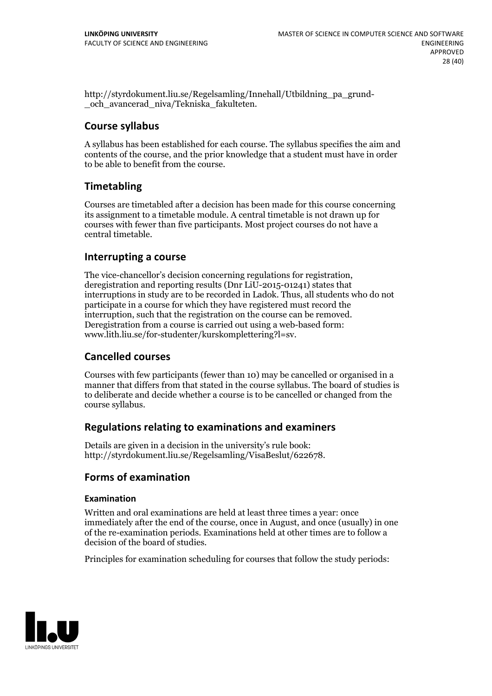http://styrdokument.liu.se/Regelsamling/Innehall/Utbildning\_pa\_grund- \_och\_avancerad\_niva/Tekniska\_fakulteten.

## **Course syllabus**

A syllabus has been established for each course. The syllabus specifies the aim and contents of the course, and the prior knowledge that a student must have in order to be able to benefit from the course.

## **Timetabling**

Courses are timetabled after a decision has been made for this course concerning its assignment to a timetable module. A central timetable is not drawn up for courses with fewer than five participants. Most project courses do not have a central timetable.

## **Interrupting a course**

The vice-chancellor's decision concerning regulations for registration, deregistration and reporting results (Dnr LiU-2015-01241) states that interruptions in study are to be recorded in Ladok. Thus, all students who do not participate in a course for which they have registered must record the interruption, such that the registration on the course can be removed. Deregistration from <sup>a</sup> course is carried outusing <sup>a</sup> web-based form: www.lith.liu.se/for-studenter/kurskomplettering?l=sv.

## **Cancelled courses**

Courses with few participants (fewer than 10) may be cancelled or organised in a manner that differs from that stated in the course syllabus. The board of studies is to deliberate and decide whether a course is to be cancelled orchanged from the course syllabus.

## **Regulations relatingto examinations and examiners**

Details are given in a decision in the university's rule book: http://styrdokument.liu.se/Regelsamling/VisaBeslut/622678.

## **Forms of examination**

## **Examination**

Written and oral examinations are held at least three times a year: once immediately after the end of the course, once in August, and once (usually) in one of the re-examination periods. Examinations held at other times are to follow a decision of the board of studies.

Principles for examination scheduling for courses that follow the study periods:

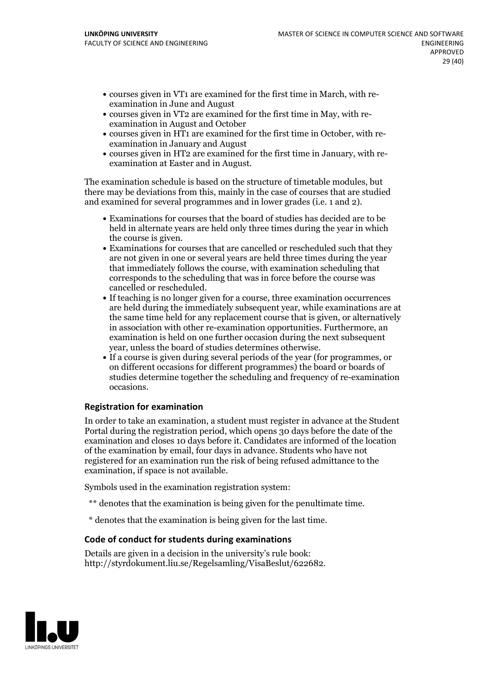- courses given in VT1 are examined for the first time in March, with re-examination in June and August
- courses given in VT2 are examined for the first time in May, with re-examination in August and October
- courses given in HT1 are examined for the first time in October, with re-examination in January and August
- courses given in HT2 are examined for the first time in January, with re-examination at Easter and in August.

The examination schedule is based on the structure of timetable modules, but there may be deviations from this, mainly in the case of courses that are studied and examined for several programmes and in lower grades (i.e. 1 and 2).

- Examinations for courses that the board of studies has decided are to be held in alternate years are held only three times during the year in which
- the course is given.<br>• Examinations for courses that are cancelled or rescheduled such that they are not given in one or several years are held three times during the year that immediately follows the course, with examination scheduling that corresponds to the scheduling that was in force before the course was cancelled or rescheduled.<br>• If teaching is no longer given for a course, three examination occurrences
- are held during the immediately subsequent year, while examinations are at the same time held for any replacement course that is given, or alternatively in association with other re-examination opportunities. Furthermore, an examination is held on one further occasion during the next subsequent
- year, unless the board of studies determines otherwise.<br>If a course is given during several periods of the year (for programmes, or on different occasions for different programmes) the board orboards of studies determine together the scheduling and frequency of re-examination occasions.

## **Registration for examination**

In order to take an examination, a student must register in advance at the Student Portal during the registration period, which opens 30 days before the date of the examination and closes 10 days before it. Candidates are informed of the location of the examination by email, four days in advance. Students who have not registered for an examination run the risk of being refused admittance to the examination, if space is not available.

Symbols used in the examination registration system:

- \*\* denotes that the examination is being given for the penultimate time.
- \* denotes that the examination is being given for the last time.

#### **Code of conduct for students during examinations**

Details are given in a decision in the university's rule book: http://styrdokument.liu.se/Regelsamling/VisaBeslut/622682.

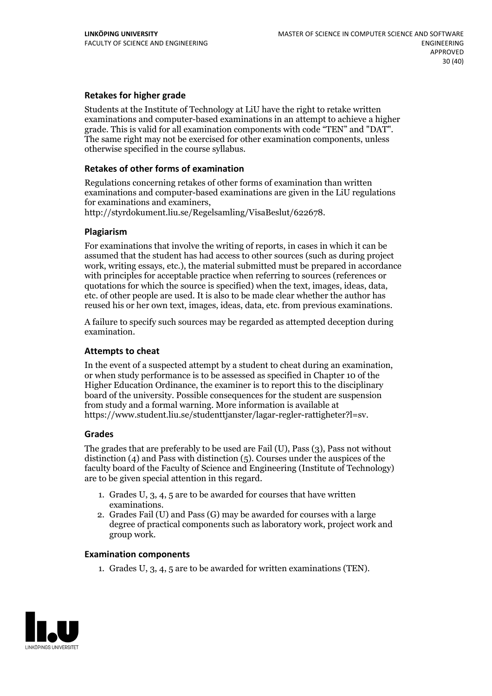## **Retakes for higher grade**

Students at the Institute of Technology at LiU have the right to retake written examinations and computer-based examinations in an attempt to achieve a higher grade. This is valid for all examination components with code "TEN" and "DAT". The same right may not be exercised for other examination components, unless otherwise specified in the course syllabus.

#### **Retakes of other forms of examination**

Regulations concerning retakes of other forms of examination than written examinations and computer-based examinations are given in the LiU regulations for examinations and examiners, http://styrdokument.liu.se/Regelsamling/VisaBeslut/622678.

#### **Plagiarism**

For examinations that involve the writing of reports, in cases in which it can be assumed that the student has had access to other sources (such as during project work, writing essays, etc.), the material submitted must be prepared in accordance with principles for acceptable practice when referring to sources (references or quotations for which the source is specified) when the text, images, ideas, data, etc. of other people are used. It is also to be made clear whether the author has reused his or her own text, images, ideas, data, etc. from previous examinations.

A failure to specify such sources may be regarded as attempted deception during examination.

#### **Attempts to cheat**

In the event of <sup>a</sup> suspected attempt by <sup>a</sup> student to cheat during an examination, or when study performance is to be assessed as specified in Chapter <sup>10</sup> of the Higher Education Ordinance, the examiner is to report this to the disciplinary board of the university. Possible consequences for the student are suspension from study and a formal warning. More information is available at https://www.student.liu.se/studenttjanster/lagar-regler-rattigheter?l=sv.

#### **Grades**

The grades that are preferably to be used are Fail (U), Pass (3), Pass not without distinction  $(4)$  and Pass with distinction  $(5)$ . Courses under the auspices of the faculty board of the Faculty of Science and Engineering (Institute of Technology) are to be given special attention in this regard.

- 1. Grades U, 3, 4, 5 are to be awarded for courses that have written
- examinations. 2. Grades Fail (U) and Pass (G) may be awarded for courses with <sup>a</sup> large degree of practical components such as laboratory work, project work and group work.

#### **Examination components**

1. Grades U, 3, 4, 5 are to be awarded for written examinations (TEN).

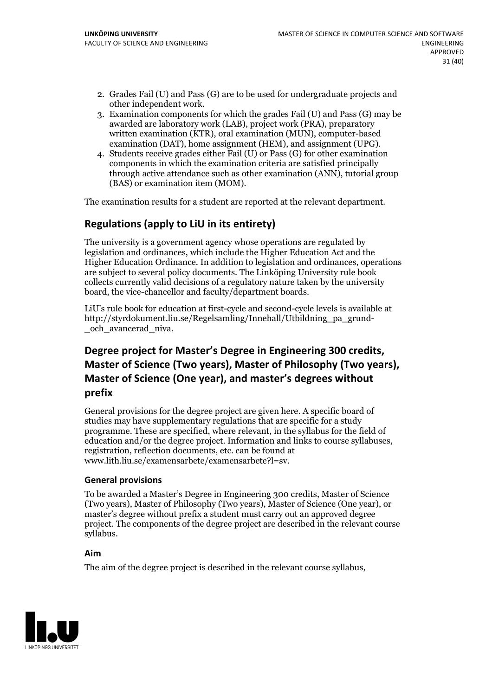- 2. Grades Fail (U) and Pass (G) are to be used for undergraduate projects and other independent work. 3. Examination components for which the grades Fail (U) and Pass (G) may be
- awarded are laboratory work (LAB), project work (PRA), preparatory written examination (KTR), oral examination (MUN), computer-based examination (DAT), home assignment (HEM), and assignment (UPG). 4. Students receive grades either Fail (U) or Pass (G) for other examination
- components in which the examination criteria are satisfied principally through active attendance such as other examination (ANN), tutorial group (BAS) or examination item (MOM).

The examination results for a student are reported at the relevant department.

## **Regulations (applyto LiU in its entirety)**

The university is a government agency whose operations are regulated by legislation and ordinances, which include the Higher Education Act and the Higher Education Ordinance. In addition to legislation and ordinances, operations are subject to several policy documents. The Linköping University rule book collects currently valid decisions of a regulatory nature taken by the university board, the vice-chancellor and faculty/department boards.

LiU's rule book for education at first-cycle and second-cycle levels is available at http://styrdokument.liu.se/Regelsamling/Innehall/Utbildning\_pa\_grund- \_och\_avancerad\_niva.

## Degree project for Master's Degree in Engineering 300 credits,<br>Master of Science (Two years), Master of Philosophy (Two years), **Master** of Science (One year), and master's degrees without **prefix**

General provisions for the degree project are given here. A specific board of studies may have supplementary regulations that are specific for a study programme. These are specified, where relevant, in the syllabus for the field of education and/or the degree project. Information and links to course syllabuses, registration, reflection documents, etc. can be found at www.lith.liu.se/examensarbete/examensarbete?l=sv.

## **General provisions**

To be awarded a Master's Degree in Engineering 300 credits, Master of Science (Two years), Master of Philosophy (Two years), Master of Science (One year), or master's degree without prefix a student must carry out an approved degree project. The components of the degree project are described in the relevant course syllabus.

## **Aim**

The aim of the degree project is described in the relevant course syllabus,

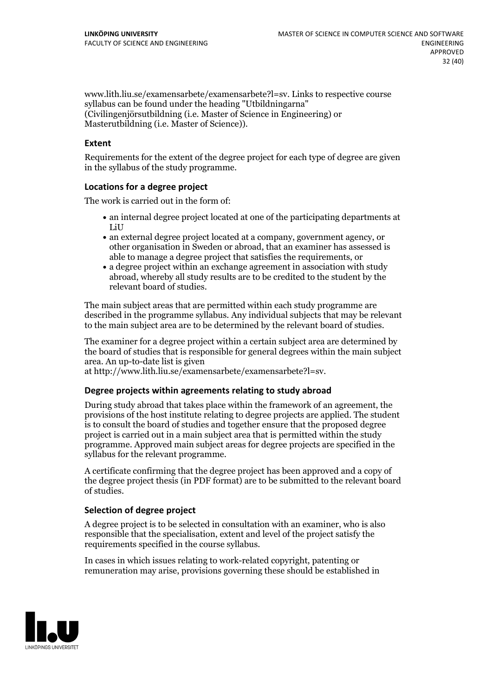www.lith.liu.se/examensarbete/examensarbete?l=sv. Links to respective course syllabus can be found under the heading "Utbildningarna" (Civilingenjörsutbildning (i.e. Master of Science in Engineering) or Masterutbildning (i.e. Master of Science)).

#### **Extent**

Requirements for the extent of the degree project for each type of degree are given in the syllabus of the study programme.

#### **Locations for a degree project**

The work is carried out in the form of:

- an internal degree project located at one of the participating departments at LiU
- an external degree project located at a company, government agency, or other organisation in Sweden or abroad, that an examiner has assessed is able to manage a degree project that satisfies the requirements, or
- a degree project within an exchange agreement in association with study abroad, whereby all study results are to be credited to the student by the relevant board of studies.

The main subject areas that are permitted within each study programme are described in the programme syllabus. Any individual subjects that may be relevant to the main subject area are to be determined by the relevant board of studies.

The examiner for a degree project within a certain subject area are determined by the board of studies that is responsible for general degrees within the main subject area. An up-to-date list is given

at http://www.lith.liu.se/examensarbete/examensarbete?l=sv.

#### **Degree projects within agreements relatingto study abroad**

During study abroad that takes place within the framework of an agreement, the provisions of the host institute relating to degree projects are applied. The student is to consult the board of studies and together ensure that the proposed degree project is carried out in a main subject area that is permitted within the study programme. Approved main subject areas for degree projects are specified in the syllabus for the relevant programme.

A certificate confirming that the degree project has been approved and a copy of the degree project thesis (in PDF format) are to be submitted to the relevant board of studies.

#### **Selection of degree project**

A degree project is to be selected in consultation with an examiner, who is also responsible that the specialisation, extent and level of the project satisfy the requirements specified in the course syllabus.

In cases in which issues relating to work-related copyright, patenting or remuneration may arise, provisions governing these should be established in

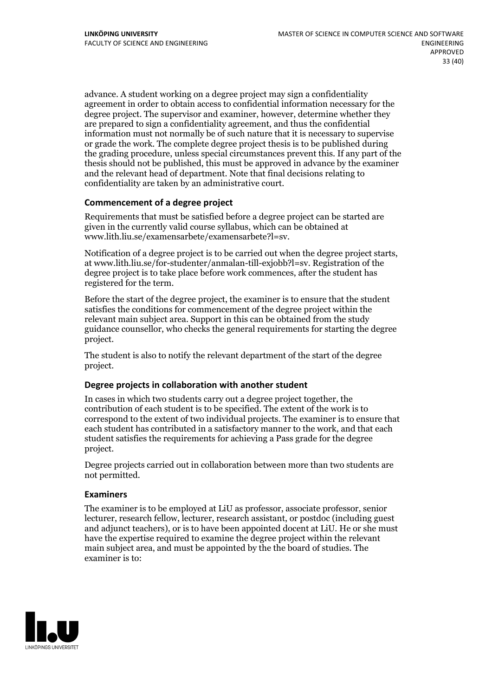advance. A student working on a degree project may sign a confidentiality agreement in order to obtain access to confidential information necessary for the degree project. The supervisor and examiner, however, determine whether they are prepared to sign a confidentiality agreement, and thus the confidential information must not normally be of such nature that it is necessary to supervise or grade the work. The complete degree project thesis is to be published during the grading procedure, unless special circumstances prevent this. If any part of the thesis should not be published, this must be approved in advance by the examiner and the relevant head of department. Note that final decisions relating to confidentiality are taken by an administrative court.

## **Commencement of a degree project**

Requirements that must be satisfied before a degree project can be started are given in the currently valid course syllabus, which can be obtained at www.lith.liu.se/examensarbete/examensarbete?l=sv.

Notification of <sup>a</sup> degree project is to be carried outwhen the degree project starts, at www.lith.liu.se/for-studenter/anmalan-till-exjobb?l=sv. Registration of the degree project is to take place before work commences, after the student has registered for the term.

Before the start of the degree project, the examiner is to ensure that the student satisfies the conditions for commencement of the degree project within the relevant main subject area. Support in this can be obtained from the study guidance counsellor, who checks the general requirements for starting the degree project.

The student is also to notify the relevant department of the start of the degree project.

#### **Degree projects in collaboration with another student**

In cases in which two students carry out a degree project together, the contribution of each student is to be specified. The extent of the work is to correspond to the extent of two individual projects. The examiner is to ensure that each student has contributed in a satisfactory manner to the work, and that each student satisfies the requirements for achieving a Pass grade for the degree project.

Degree projects carried out in collaboration between more than two students are not permitted.

#### **Examiners**

The examiner is to be employed at LiU as professor, associate professor, senior lecturer, research fellow, lecturer, research assistant, or postdoc (including guest and adjunct teachers), or is to have been appointed docent at LiU. He or she must have the expertise required to examine the degree project within the relevant main subject area, and must be appointed by the the board of studies. The examiner is to:

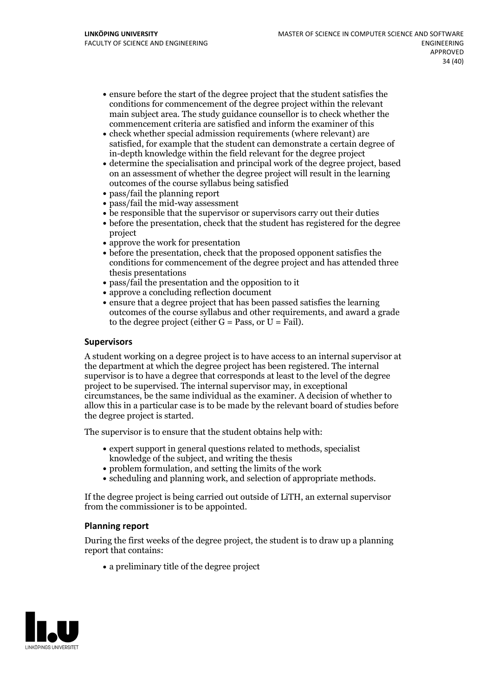- ensure before the start of the degree project that the student satisfies the conditions for commencement of the degree project within the relevant main subject area. The study guidance counsellor is to check whether the commencement criteria are satisfied and inform the examiner of this
- check whether special admission requirements (where relevant) are satisfied, for example that the student can demonstrate a certain degree of in-depth knowledge within the field relevant for the degree project
- determine the specialisation and principal work of the degree project, based on an assessment of whether the degree project will result in the learning outcomes of the course syllabus being satisfied
- pass/fail the planning report
- pass/fail the mid-way assessment
- be responsible that the supervisor or supervisors carry out their duties
- before the presentation, check that the student has registered for the degree project
- approve the work for presentation
- before the presentation, check that the proposed opponent satisfies the conditions for commencement of the degree project and has attended three thesis presentations
- pass/fail the presentation and the opposition to it
- approve a concluding reflection document
- ensure that a degree project that has been passed satisfies the learning outcomes of the course syllabus and other requirements, and award a grade to the degree project (either  $G = Pass$ , or  $U = Fail$ ).

#### **Supervisors**

A student working on a degree project is to have access to an internal supervisor at the department at which the degree project has been registered. The internal supervisor is to have a degree that corresponds at least to the level of the degree project to be supervised. The internal supervisor may, in exceptional circumstances, be the same individual as the examiner. A decision of whether to allow this in a particular case is to be made by the relevant board of studies before the degree project is started.

The supervisor is to ensure that the student obtains help with:

- expert support in general questions related to methods, specialist knowledge of the subject, and writing the thesis
- problem formulation, and setting the limits of the work
- scheduling and planning work, and selection of appropriate methods.

If the degree project is being carried out outside of LiTH, an external supervisor from the commissioner is to be appointed.

#### **Planning report**

During the first weeks of the degree project, the student is to draw up a planning report that contains:

 $\bullet$  a preliminary title of the degree project

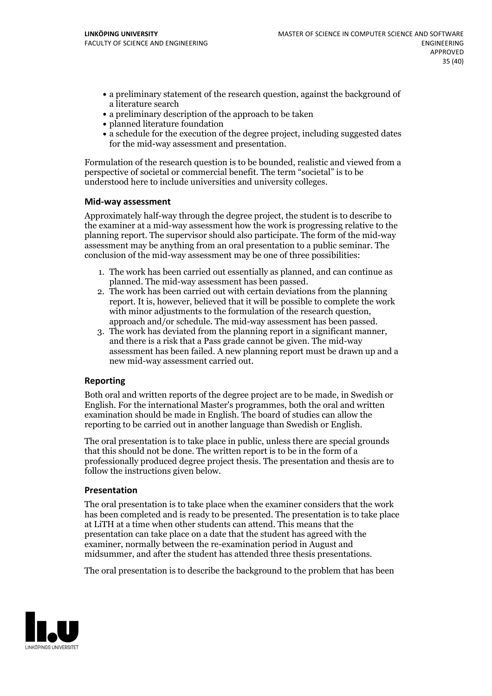- a preliminary statement of the research question, against the background of a literature search
- a preliminary description of the approach to be taken
- planned literature foundation
- a schedule for the execution of the degree project, including suggested dates for the mid-way assessment and presentation.

Formulation of the research question is to be bounded, realistic and viewed from a perspective of societal or commercial benefit. The term "societal" is to be understood here to include universities and university colleges.

#### **Mid-way assessment**

Approximately half-way through the degree project, the student is to describe to the examiner at a mid-way assessment how the work is progressing relative to the planning report. The supervisor should also participate. The form of the mid-way assessment may be anything from an oral presentation to a public seminar. The conclusion of the mid-way assessment may be one of three possibilities:

- 1. The work has been carried outessentially as planned, and can continue as
- planned. The mid-way assessment has been passed. 2. The work has been carried outwith certain deviations from the planning report. It is, however, believed that it will be possible to complete the work
- approach and/or schedule. The mid-way assessment has been passed.<br>3. The work has deviated from the planning report in a significant manner, and there is a risk that a Pass grade cannot be given. The mid-way assessment has been failed. A new planning report must be drawn up and a new mid-way assessment carried out.

## **Reporting**

Both oral and written reports of the degree project are to be made, in Swedish or English. For the international Master's programmes, both the oral and written examination should be made in English. The board of studies can allow the reporting to be carried out in another language than Swedish or English.

The oral presentation is to take place in public, unless there are special grounds that this should not be done. The written report is to be in the form of a professionally produced degree project thesis. The presentation and thesis are to follow the instructions given below.

#### **Presentation**

The oral presentation is to take place when the examiner considers that the work has been completed and is ready to be presented. The presentation is to take place at LiTH at a time when other students can attend. This means that the presentation can take place on a date that the student has agreed with the examiner, normally between the re-examination period in August and midsummer, and after the student has attended three thesis presentations.

The oral presentation is to describe the background to the problem that has been

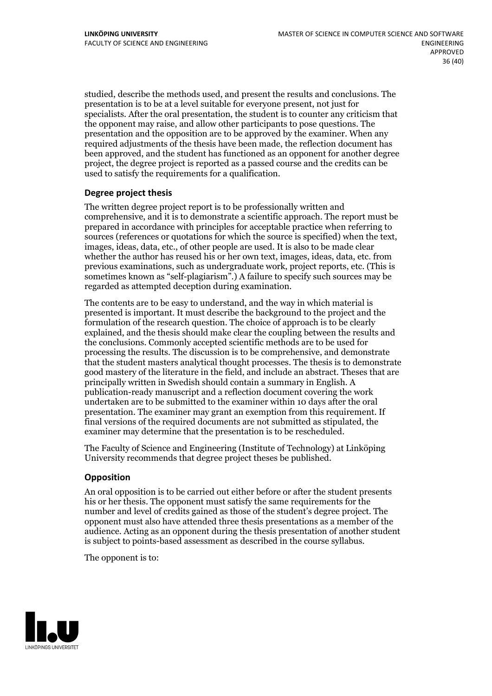studied, describe the methods used, and present the results and conclusions. The presentation is to be at a level suitable for everyone present, not just for specialists. After the oral presentation, the student is to counter any criticism that the opponent may raise, and allow other participants to pose questions. The presentation and the opposition are to be approved by the examiner. When any required adjustments of the thesis have been made, the reflection document has been approved, and the student has functioned as an opponent for another degree project, the degree project is reported as a passed course and the credits can be used to satisfy the requirements for a qualification.

## **Degree project thesis**

The written degree project report is to be professionally written and comprehensive, and it is to demonstrate a scientific approach. The report must be prepared in accordance with principles for acceptable practice when referring to sources (references or quotations for which the source is specified) when the text, images, ideas, data, etc., of other people are used. It is also to be made clear whether the author has reused his or her own text, images, ideas, data, etc. from previous examinations, such asundergraduate work, project reports, etc. (This is sometimes known as"self-plagiarism".) A failure to specify such sources may be regarded as attempted deception during examination.

The contents are to be easy to understand, and the way in which material is presented is important. It must describe the background to the project and the formulation of the research question. The choice of approach is to be clearly explained, and the thesis should make clear the coupling between the results and the conclusions. Commonly accepted scientific methods are to be used for processing the results. The discussion is to be comprehensive, and demonstrate that the student masters analytical thought processes. The thesis is to demonstrate good mastery of the literature in the field, and include an abstract. Theses that are principally written in Swedish should contain a summary in English. A publication-ready manuscript and a reflection document covering the work undertaken are to be submitted to the examiner within 10 days after the oral presentation. The examiner may grant an exemption from this requirement. If final versions of the required documents are not submitted as stipulated, the examiner may determine that the presentation is to be rescheduled.

The Faculty of Science and Engineering (Institute of Technology) at Linköping University recommends that degree project theses be published.

## **Opposition**

An oral opposition is to be carried out either before or after the student presents his or her thesis. The opponent must satisfy the same requirements for the number and level of credits gained as those of the student's degree project. The opponent must also have attended three thesis presentations as a member of the audience. Acting as an opponent during the thesis presentation of another student is subject to points-based assessment as described in the course syllabus.

The opponent is to:

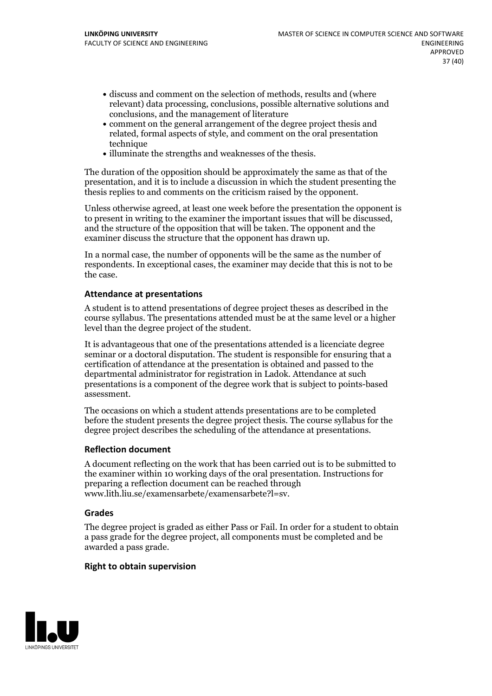- discuss and comment on the selection of methods, results and (where relevant) data processing, conclusions, possible alternative solutions and conclusions, and the management of literature
- comment on the general arrangement of the degree project thesis and related, formal aspects of style, and comment on the oral presentation technique
- illuminate the strengths and weaknesses of the thesis.

The duration of the opposition should be approximately the same as that of the presentation, and it is to include a discussion in which the student presenting the thesis replies to and comments on the criticism raised by the opponent.

Unless otherwise agreed, at least one week before the presentation the opponent is to present in writing to the examiner the important issues that will be discussed, and the structure ofthe opposition that will be taken. The opponent and the examiner discuss the structure that the opponent has drawn up.

In a normal case, the number of opponents will be the same as the number of respondents. In exceptional cases, the examiner may decide that this is not to be the case.

#### **Attendance at presentations**

A student is to attend presentations of degree project theses as described in the course syllabus. The presentations attended must be at the same level or a higher level than the degree project of the student.

It is advantageous that one of the presentations attended is a licenciate degree seminar or a doctoral disputation. The student is responsible for ensuring that a certification of attendance at the presentation is obtained and passed to the departmental administrator for registration in Ladok. Attendance at such presentations is a component of the degree work that is subject to points-based assessment.

The occasions on which a student attends presentations are to be completed before the student presents the degree project thesis. The course syllabus for the degree project describes the scheduling of the attendance at presentations.

## **Reflection document**

A document reflecting on the work that has been carried outis to be submitted to the examiner within 10 working days of the oral presentation. Instructions for preparing a reflection document can be reached through www.lith.liu.se/examensarbete/examensarbete?l=sv.

#### **Grades**

The degree project is graded as either Pass or Fail. In order for a student to obtain a pass grade for the degree project, all components must be completed and be awarded a pass grade.

#### **Right to obtain supervision**

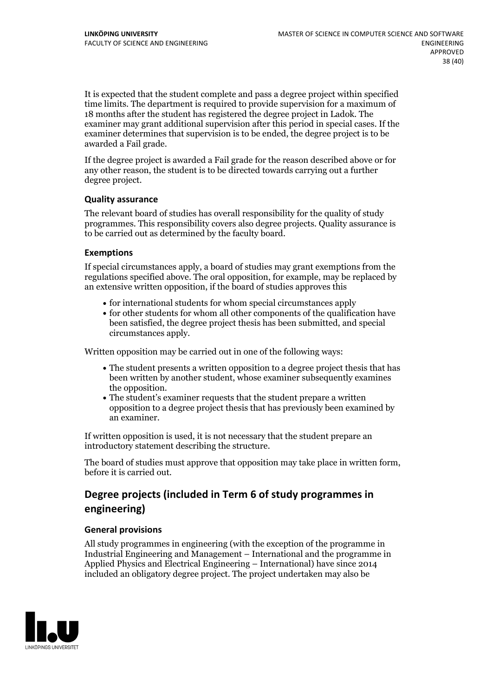It is expected that the student complete and pass a degree project within specified time limits. The department is required to provide supervision for a maximum of 18 months after the student has registered the degree project in Ladok. The examiner may grant additional supervision after this period in special cases. If the examiner determines that supervision is to be ended, the degree project is to be awarded a Fail grade.

If the degree project is awarded a Fail grade for the reason described above or for any other reason, the student is to be directed towards carrying out a further degree project.

## **Quality assurance**

The relevant board of studies has overall responsibility for the quality of study programmes. This responsibility covers also degree projects. Quality assurance is to be carried out as determined by the faculty board.

#### **Exemptions**

If special circumstances apply, a board of studies may grant exemptions from the regulations specified above. The oral opposition, for example, may be replaced by an extensive written opposition, if the board of studies approves this

- for international students for whom special circumstances apply
- for other students for whom all other components of the qualification have been satisfied, the degree project thesis has been submitted, and special circumstances apply.

Written opposition may be carried out in one of the following ways:

- The student presents a written opposition to a degree project thesis that has been written by another student, whose examiner subsequently examines the opposition.<br>• The student's examiner requests that the student prepare a written
- opposition to a degree project thesis that has previously been examined by an examiner.

If written opposition is used, it is not necessary that the student prepare an introductory statement describing the structure.

The board of studies must approve that opposition may take place in written form, before it is carried out.

## **Degree projects (included in Term 6 of study programmes in engineering)**

## **General provisions**

All study programmes in engineering (with the exception of the programme in Industrial Engineering and Management – International and the programme in Applied Physics and Electrical Engineering – International) have since 2014 included an obligatory degree project. The project undertaken may also be

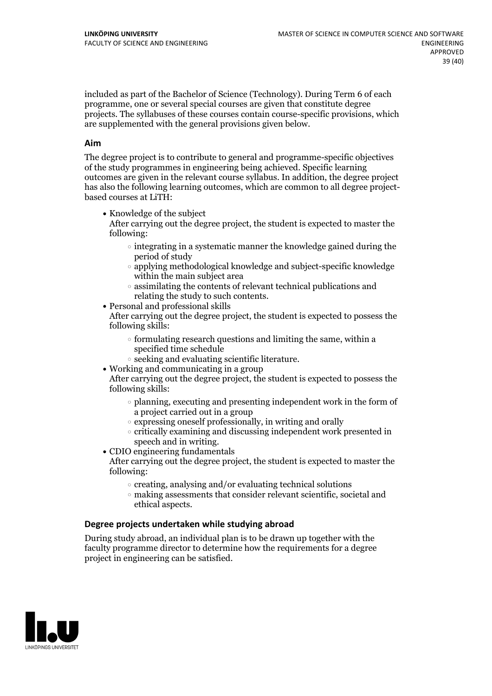included as part of the Bachelor of Science (Technology). During Term 6 of each programme, one or several special courses are given that constitute degree projects. The syllabuses of these courses contain course-specific provisions, which are supplemented with the general provisions given below.

#### **Aim**

The degree project is to contribute to general and programme-specific objectives of the study programmes in engineering being achieved. Specific learning outcomes are given in the relevant course syllabus. In addition, the degree project has also the following learning outcomes, which are common to all degree project- based courses at LiTH:

• Knowledge of the subject

After carrying out the degree project, the student is expected to master the following:

- $\circ$  integrating in a systematic manner the knowledge gained during the period of study
- applying methodological knowledge and subject-specific knowledge within the main subject area
- $\circ$  assimilating the contents of relevant technical publications and relating the study to such contents.<br>• Personal and professional skills
- 

After carrying out the degree project, the student is expected to possess the following skills:

- $\circ$  formulating research questions and limiting the same, within a specified time schedule
- $\circ$  seeking and evaluating scientific literature.<br>• Working and communicating in a group
- 

After carrying out the degree project, the student is expected to possess the following skills:

- $\circ$  planning, executing and presenting independent work in the form of a project carried out in a group
- $\circ$  expressing oneself professionally, in writing and orally
- $\circ$  critically examining and discussing independent work presented in
- speech and in writing.<br>• CDIO engineering fundamentals

After carrying out the degree project, the student is expected to master the following:

- $\circ$  creating, analysing and/or evaluating technical solutions
- making assessments that consider relevant scientific, societal and ethical aspects.

## **Degree projects undertaken while studying abroad**

During study abroad, an individual plan is to be drawn up together with the faculty programme director to determine how the requirements for a degree project in engineering can be satisfied.